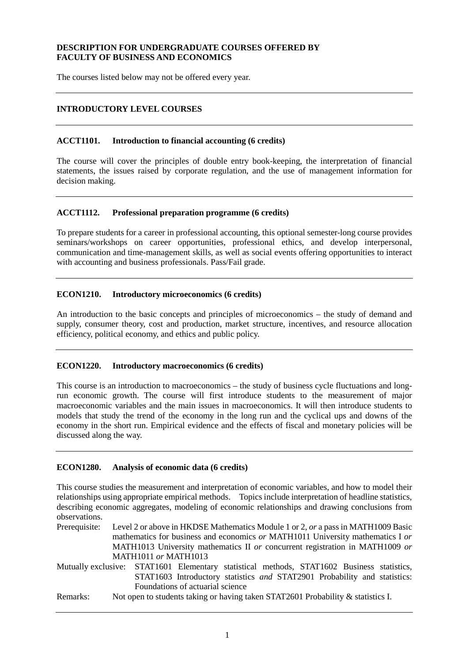## **DESCRIPTION FOR UNDERGRADUATE COURSES OFFERED BY FACULTY OF BUSINESS AND ECONOMICS**

The courses listed below may not be offered every year.

## **INTRODUCTORY LEVEL COURSES**

#### **ACCT1101. Introduction to financial accounting (6 credits)**

The course will cover the principles of double entry book-keeping, the interpretation of financial statements, the issues raised by corporate regulation, and the use of management information for decision making.

#### **ACCT1112. Professional preparation programme (6 credits)**

To prepare students for a career in professional accounting, this optional semester-long course provides seminars/workshops on career opportunities, professional ethics, and develop interpersonal, communication and time-management skills, as well as social events offering opportunities to interact with accounting and business professionals. Pass/Fail grade.

#### **ECON1210. Introductory microeconomics (6 credits)**

An introduction to the basic concepts and principles of microeconomics – the study of demand and supply, consumer theory, cost and production, market structure, incentives, and resource allocation efficiency, political economy, and ethics and public policy.

#### **ECON1220. Introductory macroeconomics (6 credits)**

This course is an introduction to macroeconomics – the study of business cycle fluctuations and longrun economic growth. The course will first introduce students to the measurement of major macroeconomic variables and the main issues in macroeconomics. It will then introduce students to models that study the trend of the economy in the long run and the cyclical ups and downs of the economy in the short run. Empirical evidence and the effects of fiscal and monetary policies will be discussed along the way.

#### **ECON1280. Analysis of economic data (6 credits)**

This course studies the measurement and interpretation of economic variables, and how to model their relationships using appropriate empirical methods. Topics include interpretation of headline statistics, describing economic aggregates, modeling of economic relationships and drawing conclusions from observations.

Prerequisite: Level 2 or above in HKDSE Mathematics Module 1 or 2, *or* a pass in MATH1009 Basic mathematics for business and economics *or* MATH1011 University mathematics I *or* MATH1013 University mathematics II *or* concurrent registration in MATH1009 *or*  MATH1011 *or* MATH1013

Mutually exclusive: STAT1601 Elementary statistical methods, STAT1602 Business statistics, STAT1603 Introductory statistics *and* STAT2901 Probability and statistics: Foundations of actuarial science

Remarks: Not open to students taking or having taken STAT2601 Probability & statistics I.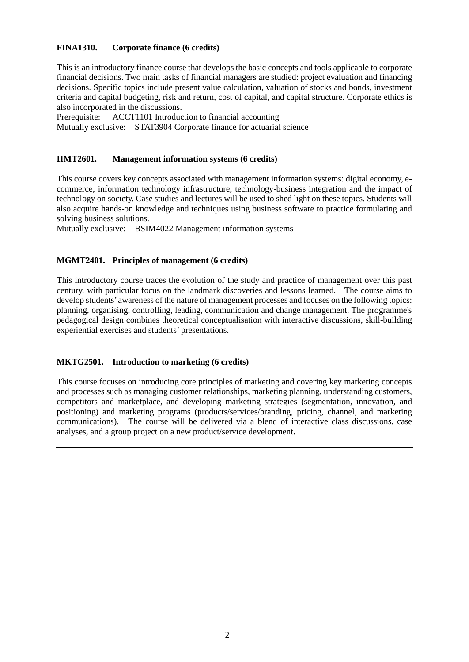## **FINA1310. Corporate finance (6 credits)**

This is an introductory finance course that develops the basic concepts and tools applicable to corporate financial decisions. Two main tasks of financial managers are studied: project evaluation and financing decisions. Specific topics include present value calculation, valuation of stocks and bonds, investment criteria and capital budgeting, risk and return, cost of capital, and capital structure. Corporate ethics is also incorporated in the discussions.

Prerequisite: ACCT1101 Introduction to financial accounting Mutually exclusive: STAT3904 Corporate finance for actuarial science

#### **IIMT2601. Management information systems (6 credits)**

This course covers key concepts associated with management information systems: digital economy, ecommerce, information technology infrastructure, technology-business integration and the impact of technology on society. Case studies and lectures will be used to shed light on these topics. Students will also acquire hands-on knowledge and techniques using business software to practice formulating and solving business solutions.

Mutually exclusive: BSIM4022 Management information systems

#### **MGMT2401. Principles of management (6 credits)**

This introductory course traces the evolution of the study and practice of management over this past century, with particular focus on the landmark discoveries and lessons learned. The course aims to develop students' awareness of the nature of management processes and focuses on the following topics: planning, organising, controlling, leading, communication and change management. The programme's pedagogical design combines theoretical conceptualisation with interactive discussions, skill-building experiential exercises and students' presentations.

#### **MKTG2501. Introduction to marketing (6 credits)**

This course focuses on introducing core principles of marketing and covering key marketing concepts and processes such as managing customer relationships, marketing planning, understanding customers, competitors and marketplace, and developing marketing strategies (segmentation, innovation, and positioning) and marketing programs (products/services/branding, pricing, channel, and marketing communications). The course will be delivered via a blend of interactive class discussions, case analyses, and a group project on a new product/service development.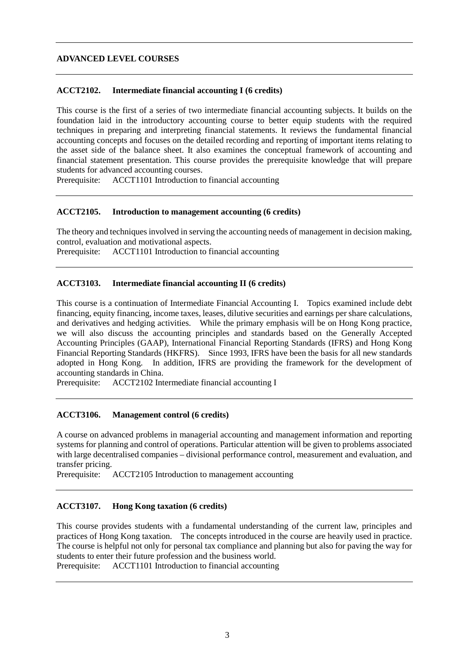## **ADVANCED LEVEL COURSES**

#### **ACCT2102. Intermediate financial accounting I (6 credits)**

This course is the first of a series of two intermediate financial accounting subjects. It builds on the foundation laid in the introductory accounting course to better equip students with the required techniques in preparing and interpreting financial statements. It reviews the fundamental financial accounting concepts and focuses on the detailed recording and reporting of important items relating to the asset side of the balance sheet. It also examines the conceptual framework of accounting and financial statement presentation. This course provides the prerequisite knowledge that will prepare students for advanced accounting courses.

Prerequisite: ACCT1101 Introduction to financial accounting

#### **ACCT2105. Introduction to management accounting (6 credits)**

The theory and techniques involved in serving the accounting needs of management in decision making, control, evaluation and motivational aspects.

Prerequisite: ACCT1101 Introduction to financial accounting

#### **ACCT3103. Intermediate financial accounting II (6 credits)**

This course is a continuation of Intermediate Financial Accounting I. Topics examined include debt financing, equity financing, income taxes, leases, dilutive securities and earnings per share calculations, and derivatives and hedging activities. While the primary emphasis will be on Hong Kong practice, we will also discuss the accounting principles and standards based on the Generally Accepted Accounting Principles (GAAP), International Financial Reporting Standards (IFRS) and Hong Kong Financial Reporting Standards (HKFRS). Since 1993, IFRS have been the basis for all new standards adopted in Hong Kong. In addition, IFRS are providing the framework for the development of accounting standards in China.<br>Prerequisite: ACCT2102 Int

ACCT2102 Intermediate financial accounting I

#### **ACCT3106. Management control (6 credits)**

A course on advanced problems in managerial accounting and management information and reporting systems for planning and control of operations. Particular attention will be given to problems associated with large decentralised companies – divisional performance control, measurement and evaluation, and transfer pricing.

Prerequisite: ACCT2105 Introduction to management accounting

#### **ACCT3107. Hong Kong taxation (6 credits)**

This course provides students with a fundamental understanding of the current law, principles and practices of Hong Kong taxation. The concepts introduced in the course are heavily used in practice. The course is helpful not only for personal tax compliance and planning but also for paving the way for students to enter their future profession and the business world.

Prerequisite: ACCT1101 Introduction to financial accounting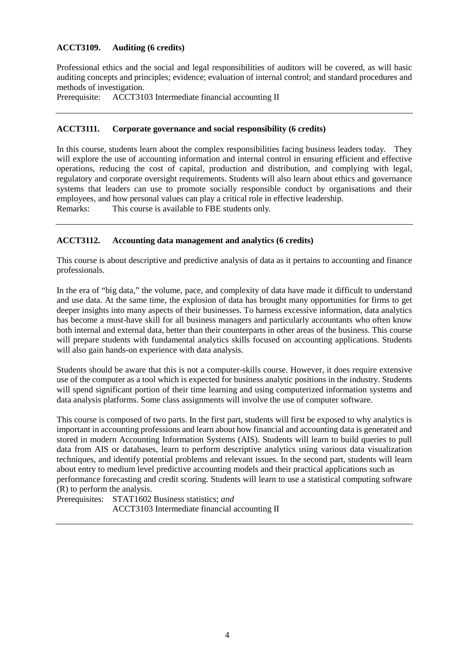## **ACCT3109. Auditing (6 credits)**

Professional ethics and the social and legal responsibilities of auditors will be covered, as will basic auditing concepts and principles; evidence; evaluation of internal control; and standard procedures and methods of investigation.

Prerequisite: ACCT3103 Intermediate financial accounting II

## **ACCT3111. Corporate governance and social responsibility (6 credits)**

In this course, students learn about the complex responsibilities facing business leaders today. They will explore the use of accounting information and internal control in ensuring efficient and effective operations, reducing the cost of capital, production and distribution, and complying with legal, regulatory and corporate oversight requirements. Students will also learn about ethics and governance systems that leaders can use to promote socially responsible conduct by organisations and their employees, and how personal values can play a critical role in effective leadership.<br>Remarks: This course is available to FBE students only. This course is available to FBE students only.

#### **ACCT3112. Accounting data management and analytics (6 credits)**

This course is about descriptive and predictive analysis of data as it pertains to accounting and finance professionals.

In the era of "big data," the volume, pace, and complexity of data have made it difficult to understand and use data. At the same time, the explosion of data has brought many opportunities for firms to get deeper insights into many aspects of their businesses. To harness excessive information, data analytics has become a must-have skill for all business managers and particularly accountants who often know both internal and external data, better than their counterparts in other areas of the business. This course will prepare students with fundamental analytics skills focused on accounting applications. Students will also gain hands-on experience with data analysis.

Students should be aware that this is not a computer-skills course. However, it does require extensive use of the computer as a tool which is expected for business analytic positions in the industry. Students will spend significant portion of their time learning and using computerized information systems and data analysis platforms. Some class assignments will involve the use of computer software.

This course is composed of two parts. In the first part, students will first be exposed to why analytics is important in accounting professions and learn about how financial and accounting data is generated and stored in modern Accounting Information Systems (AIS). Students will learn to build queries to pull data from AIS or databases, learn to perform descriptive analytics using various data visualization techniques, and identify potential problems and relevant issues. In the second part, students will learn about entry to medium level predictive accounting models and their practical applications such as performance forecasting and credit scoring. Students will learn to use a statistical computing software (R) to perform the analysis.

Prerequisites: STAT1602 Business statistics; *and* ACCT3103 Intermediate financial accounting II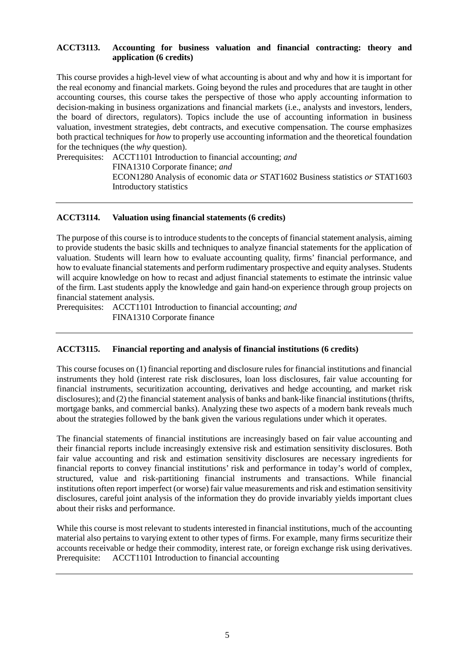## **ACCT3113. Accounting for business valuation and financial contracting: theory and application (6 credits)**

This course provides a high-level view of what accounting is about and why and how it is important for the real economy and financial markets. Going beyond the rules and procedures that are taught in other accounting courses, this course takes the perspective of those who apply accounting information to decision-making in business organizations and financial markets (i.e., analysts and investors, lenders, the board of directors, regulators). Topics include the use of accounting information in business valuation, investment strategies, debt contracts, and executive compensation. The course emphasizes both practical techniques for *how* to properly use accounting information and the theoretical foundation for the techniques (the *why* question).

Prerequisites: ACCT1101 Introduction to financial accounting; *and*

FINA1310 Corporate finance; *and* ECON1280 Analysis of economic data *or* STAT1602 Business statistics *or* STAT1603 Introductory statistics

#### **ACCT3114. Valuation using financial statements (6 credits)**

The purpose of this course is to introduce students to the concepts of financial statement analysis, aiming to provide students the basic skills and techniques to analyze financial statements for the application of valuation. Students will learn how to evaluate accounting quality, firms' financial performance, and how to evaluate financial statements and perform rudimentary prospective and equity analyses. Students will acquire knowledge on how to recast and adjust financial statements to estimate the intrinsic value of the firm. Last students apply the knowledge and gain hand-on experience through group projects on financial statement analysis.

Prerequisites: ACCT1101 Introduction to financial accounting; *and* FINA1310 Corporate finance

#### **ACCT3115. Financial reporting and analysis of financial institutions (6 credits)**

This course focuses on (1) financial reporting and disclosure rules for financial institutions and financial instruments they hold (interest rate risk disclosures, loan loss disclosures, fair value accounting for financial instruments, securitization accounting, derivatives and hedge accounting, and market risk disclosures); and (2) the financial statement analysis of banks and bank-like financial institutions (thrifts, mortgage banks, and commercial banks). Analyzing these two aspects of a modern bank reveals much about the strategies followed by the bank given the various regulations under which it operates.

The financial statements of financial institutions are increasingly based on fair value accounting and their financial reports include increasingly extensive risk and estimation sensitivity disclosures. Both fair value accounting and risk and estimation sensitivity disclosures are necessary ingredients for financial reports to convey financial institutions' risk and performance in today's world of complex, structured, value and risk-partitioning financial instruments and transactions. While financial institutions often report imperfect (or worse) fair value measurements and risk and estimation sensitivity disclosures, careful joint analysis of the information they do provide invariably yields important clues about their risks and performance.

While this course is most relevant to students interested in financial institutions, much of the accounting material also pertains to varying extent to other types of firms. For example, many firms securitize their accounts receivable or hedge their commodity, interest rate, or foreign exchange risk using derivatives. Prerequisite: ACCT1101 Introduction to financial accounting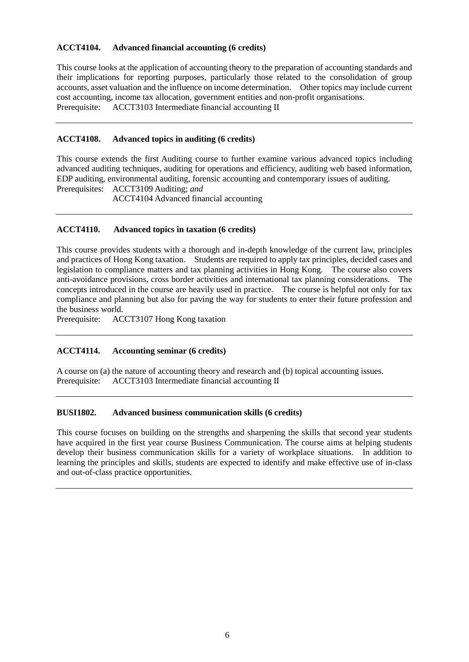## **ACCT4104. Advanced financial accounting (6 credits)**

This course looks at the application of accounting theory to the preparation of accounting standards and their implications for reporting purposes, particularly those related to the consolidation of group accounts, asset valuation and the influence on income determination. Other topics may include current cost accounting, income tax allocation, government entities and non-profit organisations. Prerequisite: ACCT3103 Intermediate financial accounting II

## **ACCT4108. Advanced topics in auditing (6 credits)**

This course extends the first Auditing course to further examine various advanced topics including advanced auditing techniques, auditing for operations and efficiency, auditing web based information, EDP auditing, environmental auditing, forensic accounting and contemporary issues of auditing. Prerequisites: ACCT3109 Auditing; *and*

ACCT4104 Advanced financial accounting

## **ACCT4110. Advanced topics in taxation (6 credits)**

This course provides students with a thorough and in-depth knowledge of the current law, principles and practices of Hong Kong taxation. Students are required to apply tax principles, decided cases and legislation to compliance matters and tax planning activities in Hong Kong. The course also covers anti-avoidance provisions, cross border activities and international tax planning considerations. The concepts introduced in the course are heavily used in practice. The course is helpful not only for tax compliance and planning but also for paving the way for students to enter their future profession and the business world.<br>Prerequisite: AC

ACCT3107 Hong Kong taxation

# **ACCT4114. Accounting seminar (6 credits)**

A course on (a) the nature of accounting theory and research and (b) topical accounting issues. Prerequisite: ACCT3103 Intermediate financial accounting II

#### **BUSI1802. Advanced business communication skills (6 credits)**

This course focuses on building on the strengths and sharpening the skills that second year students have acquired in the first year course Business Communication. The course aims at helping students develop their business communication skills for a variety of workplace situations. In addition to learning the principles and skills, students are expected to identify and make effective use of in-class and out-of-class practice opportunities.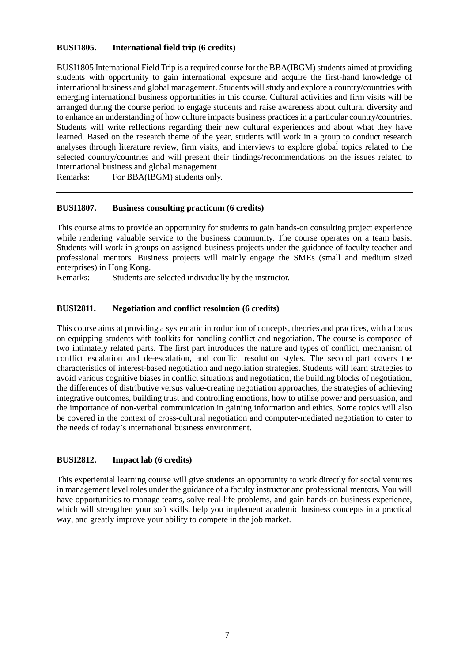## **BUSI1805. International field trip (6 credits)**

BUSI1805 International Field Trip is a required course for the BBA(IBGM) students aimed at providing students with opportunity to gain international exposure and acquire the first-hand knowledge of international business and global management. Students will study and explore a country/countries with emerging international business opportunities in this course. Cultural activities and firm visits will be arranged during the course period to engage students and raise awareness about cultural diversity and to enhance an understanding of how culture impacts business practices in a particular country/countries. Students will write reflections regarding their new cultural experiences and about what they have learned. Based on the research theme of the year, students will work in a group to conduct research analyses through literature review, firm visits, and interviews to explore global topics related to the selected country/countries and will present their findings/recommendations on the issues related to international business and global management.

Remarks: For BBA(IBGM) students only.

#### **BUSI1807. Business consulting practicum (6 credits)**

This course aims to provide an opportunity for students to gain hands-on consulting project experience while rendering valuable service to the business community. The course operates on a team basis. Students will work in groups on assigned business projects under the guidance of faculty teacher and professional mentors. Business projects will mainly engage the SMEs (small and medium sized enterprises) in Hong Kong.

Remarks: Students are selected individually by the instructor.

#### **BUSI2811. Negotiation and conflict resolution (6 credits)**

This course aims at providing a systematic introduction of concepts, theories and practices, with a focus on equipping students with toolkits for handling conflict and negotiation. The course is composed of two intimately related parts. The first part introduces the nature and types of conflict, mechanism of conflict escalation and de-escalation, and conflict resolution styles. The second part covers the characteristics of interest-based negotiation and negotiation strategies. Students will learn strategies to avoid various cognitive biases in conflict situations and negotiation, the building blocks of negotiation, the differences of distributive versus value-creating negotiation approaches, the strategies of achieving integrative outcomes, building trust and controlling emotions, how to utilise power and persuasion, and the importance of non-verbal communication in gaining information and ethics. Some topics will also be covered in the context of cross-cultural negotiation and computer-mediated negotiation to cater to the needs of today's international business environment.

#### **BUSI2812. Impact lab (6 credits)**

This experiential learning course will give students an opportunity to work directly for social ventures in management level roles under the guidance of a faculty instructor and professional mentors. You will have opportunities to manage teams, solve real-life problems, and gain hands-on business experience, which will strengthen your soft skills, help you implement academic business concepts in a practical way, and greatly improve your ability to compete in the job market.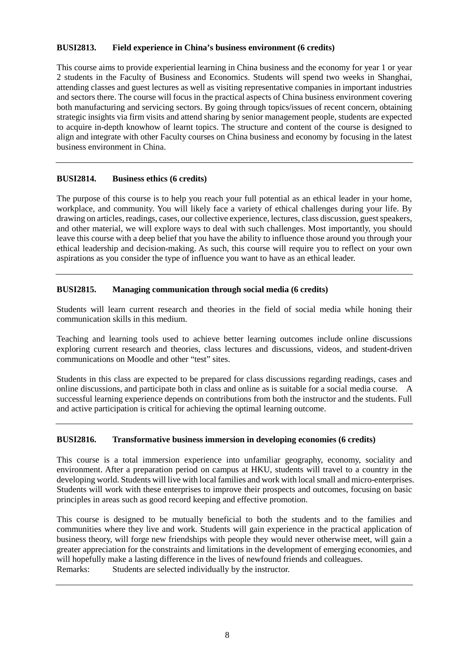## **BUSI2813. Field experience in China's business environment (6 credits)**

This course aims to provide experiential learning in China business and the economy for year 1 or year 2 students in the Faculty of Business and Economics. Students will spend two weeks in Shanghai, attending classes and guest lectures as well as visiting representative companies in important industries and sectors there. The course will focus in the practical aspects of China business environment covering both manufacturing and servicing sectors. By going through topics/issues of recent concern, obtaining strategic insights via firm visits and attend sharing by senior management people, students are expected to acquire in-depth knowhow of learnt topics. The structure and content of the course is designed to align and integrate with other Faculty courses on China business and economy by focusing in the latest business environment in China.

# **BUSI2814. Business ethics (6 credits)**

The purpose of this course is to help you reach your full potential as an ethical leader in your home, workplace, and community. You will likely face a variety of ethical challenges during your life. By drawing on articles, readings, cases, our collective experience, lectures, class discussion, guest speakers, and other material, we will explore ways to deal with such challenges. Most importantly, you should leave this course with a deep belief that you have the ability to influence those around you through your ethical leadership and decision-making. As such, this course will require you to reflect on your own aspirations as you consider the type of influence you want to have as an ethical leader.

## **BUSI2815. Managing communication through social media (6 credits)**

Students will learn current research and theories in the field of social media while honing their communication skills in this medium.

Teaching and learning tools used to achieve better learning outcomes include online discussions exploring current research and theories, class lectures and discussions, videos, and student-driven communications on Moodle and other "test" sites.

Students in this class are expected to be prepared for class discussions regarding readings, cases and online discussions, and participate both in class and online as is suitable for a social media course. A successful learning experience depends on contributions from both the instructor and the students. Full and active participation is critical for achieving the optimal learning outcome.

#### **BUSI2816. Transformative business immersion in developing economies (6 credits)**

This course is a total immersion experience into unfamiliar geography, economy, sociality and environment. After a preparation period on campus at HKU, students will travel to a country in the developing world. Students will live with local families and work with local small and micro-enterprises. Students will work with these enterprises to improve their prospects and outcomes, focusing on basic principles in areas such as good record keeping and effective promotion.

This course is designed to be mutually beneficial to both the students and to the families and communities where they live and work. Students will gain experience in the practical application of business theory, will forge new friendships with people they would never otherwise meet, will gain a greater appreciation for the constraints and limitations in the development of emerging economies, and will hopefully make a lasting difference in the lives of newfound friends and colleagues. Remarks: Students are selected individually by the instructor.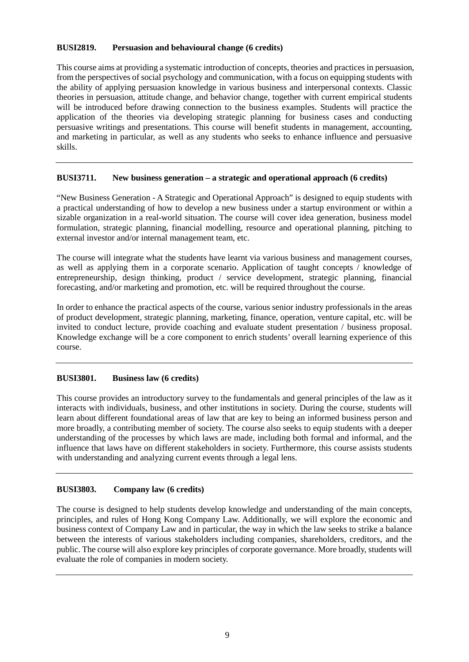## **BUSI2819. Persuasion and behavioural change (6 credits)**

This course aims at providing a systematic introduction of concepts, theories and practices in persuasion, from the perspectives of social psychology and communication, with a focus on equipping students with the ability of applying persuasion knowledge in various business and interpersonal contexts. Classic theories in persuasion, attitude change, and behavior change, together with current empirical students will be introduced before drawing connection to the business examples. Students will practice the application of the theories via developing strategic planning for business cases and conducting persuasive writings and presentations. This course will benefit students in management, accounting, and marketing in particular, as well as any students who seeks to enhance influence and persuasive skills.

## **BUSI3711. New business generation – a strategic and operational approach (6 credits)**

"New Business Generation - A Strategic and Operational Approach" is designed to equip students with a practical understanding of how to develop a new business under a startup environment or within a sizable organization in a real-world situation. The course will cover idea generation, business model formulation, strategic planning, financial modelling, resource and operational planning, pitching to external investor and/or internal management team, etc.

The course will integrate what the students have learnt via various business and management courses, as well as applying them in a corporate scenario. Application of taught concepts / knowledge of entrepreneurship, design thinking, product / service development, strategic planning, financial forecasting, and/or marketing and promotion, etc. will be required throughout the course.

In order to enhance the practical aspects of the course, various senior industry professionals in the areas of product development, strategic planning, marketing, finance, operation, venture capital, etc. will be invited to conduct lecture, provide coaching and evaluate student presentation / business proposal. Knowledge exchange will be a core component to enrich students' overall learning experience of this course.

# **BUSI3801. Business law (6 credits)**

This course provides an introductory survey to the fundamentals and general principles of the law as it interacts with individuals, business, and other institutions in society. During the course, students will learn about different foundational areas of law that are key to being an informed business person and more broadly, a contributing member of society. The course also seeks to equip students with a deeper understanding of the processes by which laws are made, including both formal and informal, and the influence that laws have on different stakeholders in society. Furthermore, this course assists students with understanding and analyzing current events through a legal lens.

# **BUSI3803. Company law (6 credits)**

The course is designed to help students develop knowledge and understanding of the main concepts, principles, and rules of Hong Kong Company Law. Additionally, we will explore the economic and business context of Company Law and in particular, the way in which the law seeks to strike a balance between the interests of various stakeholders including companies, shareholders, creditors, and the public. The course will also explore key principles of corporate governance. More broadly, students will evaluate the role of companies in modern society.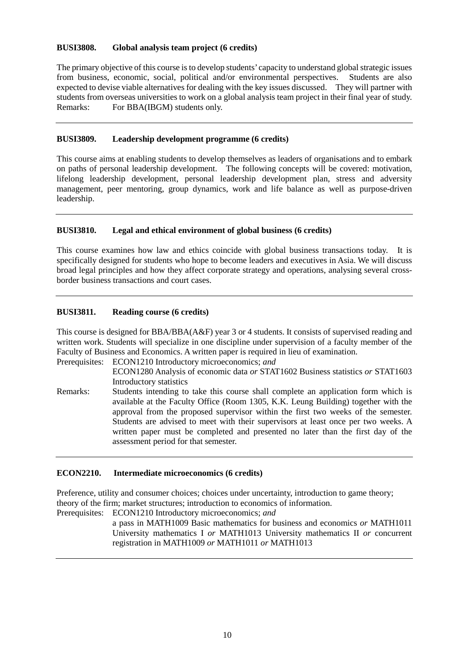## **BUSI3808. Global analysis team project (6 credits)**

The primary objective of this course is to develop students' capacity to understand global strategic issues from business, economic, social, political and/or environmental perspectives. Students are also expected to devise viable alternatives for dealing with the key issues discussed. They will partner with students from overseas universities to work on a global analysis team project in their final year of study. Remarks: For BBA(IBGM) students only.

## **BUSI3809. Leadership development programme (6 credits)**

This course aims at enabling students to develop themselves as leaders of organisations and to embark on paths of personal leadership development. The following concepts will be covered: motivation, lifelong leadership development, personal leadership development plan, stress and adversity management, peer mentoring, group dynamics, work and life balance as well as purpose-driven leadership.

# **BUSI3810. Legal and ethical environment of global business (6 credits)**

This course examines how law and ethics coincide with global business transactions today. It is specifically designed for students who hope to become leaders and executives in Asia. We will discuss broad legal principles and how they affect corporate strategy and operations, analysing several crossborder business transactions and court cases.

## **BUSI3811. Reading course (6 credits)**

This course is designed for BBA/BBA(A&F) year 3 or 4 students. It consists of supervised reading and written work. Students will specialize in one discipline under supervision of a faculty member of the Faculty of Business and Economics. A written paper is required in lieu of examination.

Prerequisites: ECON1210 Introductory microeconomics; *and* ECON1280 Analysis of economic data *or* STAT1602 Business statistics *or* STAT1603 Introductory statistics

Remarks: Students intending to take this course shall complete an application form which is available at the Faculty Office (Room 1305, K.K. Leung Building) together with the approval from the proposed supervisor within the first two weeks of the semester. Students are advised to meet with their supervisors at least once per two weeks. A written paper must be completed and presented no later than the first day of the assessment period for that semester.

#### **ECON2210. Intermediate microeconomics (6 credits)**

Preference, utility and consumer choices; choices under uncertainty, introduction to game theory; theory of the firm; market structures; introduction to economics of information.

Prerequisites: ECON1210 Introductory microeconomics; *and*

a pass in MATH1009 Basic mathematics for business and economics *or* MATH1011 University mathematics I *or* MATH1013 University mathematics II *or* concurrent registration in MATH1009 *or* MATH1011 *or* MATH1013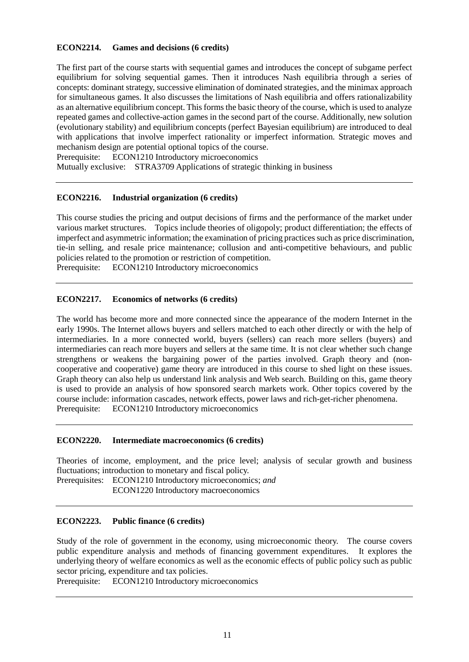## **ECON2214. Games and decisions (6 credits)**

The first part of the course starts with sequential games and introduces the concept of subgame perfect equilibrium for solving sequential games. Then it introduces Nash equilibria through a series of concepts: dominant strategy, successive elimination of dominated strategies, and the minimax approach for simultaneous games. It also discusses the limitations of Nash equilibria and offers rationalizability as an alternative equilibrium concept. This forms the basic theory of the course, which is used to analyze repeated games and collective-action games in the second part of the course. Additionally, new solution (evolutionary stability) and equilibrium concepts (perfect Bayesian equilibrium) are introduced to deal with applications that involve imperfect rationality or imperfect information. Strategic moves and mechanism design are potential optional topics of the course.

Prerequisite: ECON1210 Introductory microeconomics

Mutually exclusive: STRA3709 Applications of strategic thinking in business

#### **ECON2216. Industrial organization (6 credits)**

This course studies the pricing and output decisions of firms and the performance of the market under various market structures. Topics include theories of oligopoly; product differentiation; the effects of imperfect and asymmetric information; the examination of pricing practices such as price discrimination, tie-in selling, and resale price maintenance; collusion and anti-competitive behaviours, and public policies related to the promotion or restriction of competition.

Prerequisite: ECON1210 Introductory microeconomics

#### **ECON2217. Economics of networks (6 credits)**

The world has become more and more connected since the appearance of the modern Internet in the early 1990s. The Internet allows buyers and sellers matched to each other directly or with the help of intermediaries. In a more connected world, buyers (sellers) can reach more sellers (buyers) and intermediaries can reach more buyers and sellers at the same time. It is not clear whether such change strengthens or weakens the bargaining power of the parties involved. Graph theory and (noncooperative and cooperative) game theory are introduced in this course to shed light on these issues. Graph theory can also help us understand link analysis and Web search. Building on this, game theory is used to provide an analysis of how sponsored search markets work. Other topics covered by the course include: information cascades, network effects, power laws and rich-get-richer phenomena. Prerequisite: ECON1210 Introductory microeconomics

#### **ECON2220. Intermediate macroeconomics (6 credits)**

Theories of income, employment, and the price level; analysis of secular growth and business fluctuations; introduction to monetary and fiscal policy.

Prerequisites: ECON1210 Introductory microeconomics; *and* ECON1220 Introductory macroeconomics

## **ECON2223. Public finance (6 credits)**

Study of the role of government in the economy, using microeconomic theory. The course covers public expenditure analysis and methods of financing government expenditures. It explores the underlying theory of welfare economics as well as the economic effects of public policy such as public sector pricing, expenditure and tax policies.

Prerequisite: ECON1210 Introductory microeconomics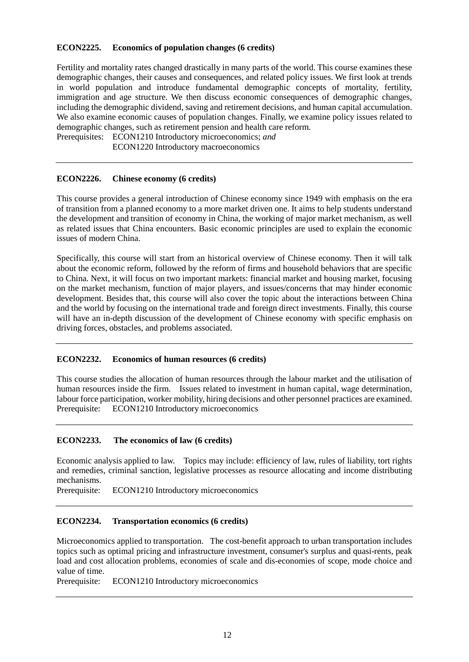## **ECON2225. Economics of population changes (6 credits)**

Fertility and mortality rates changed drastically in many parts of the world. This course examines these demographic changes, their causes and consequences, and related policy issues. We first look at trends in world population and introduce fundamental demographic concepts of mortality, fertility, immigration and age structure. We then discuss economic consequences of demographic changes, including the demographic dividend, saving and retirement decisions, and human capital accumulation. We also examine economic causes of population changes. Finally, we examine policy issues related to demographic changes, such as retirement pension and health care reform.

Prerequisites: ECON1210 Introductory microeconomics; *and*

ECON1220 Introductory macroeconomics

#### **ECON2226. Chinese economy (6 credits)**

This course provides a general introduction of Chinese economy since 1949 with emphasis on the era of transition from a planned economy to a more market driven one. It aims to help students understand the development and transition of economy in China, the working of major market mechanism, as well as related issues that China encounters. Basic economic principles are used to explain the economic issues of modern China.

Specifically, this course will start from an historical overview of Chinese economy. Then it will talk about the economic reform, followed by the reform of firms and household behaviors that are specific to China. Next, it will focus on two important markets: financial market and housing market, focusing on the market mechanism, function of major players, and issues/concerns that may hinder economic development. Besides that, this course will also cover the topic about the interactions between China and the world by focusing on the international trade and foreign direct investments. Finally, this course will have an in-depth discussion of the development of Chinese economy with specific emphasis on driving forces, obstacles, and problems associated.

#### **ECON2232. Economics of human resources (6 credits)**

This course studies the allocation of human resources through the labour market and the utilisation of human resources inside the firm. Issues related to investment in human capital, wage determination, labour force participation, worker mobility, hiring decisions and other personnel practices are examined. Prerequisite: ECON1210 Introductory microeconomics

#### **ECON2233. The economics of law (6 credits)**

Economic analysis applied to law. Topics may include: efficiency of law, rules of liability, tort rights and remedies, criminal sanction, legislative processes as resource allocating and income distributing mechanisms.

Prerequisite: ECON1210 Introductory microeconomics

#### **ECON2234. Transportation economics (6 credits)**

Microeconomics applied to transportation. The cost-benefit approach to urban transportation includes topics such as optimal pricing and infrastructure investment, consumer's surplus and quasi-rents, peak load and cost allocation problems, economies of scale and dis-economies of scope, mode choice and value of time.

Prerequisite: ECON1210 Introductory microeconomics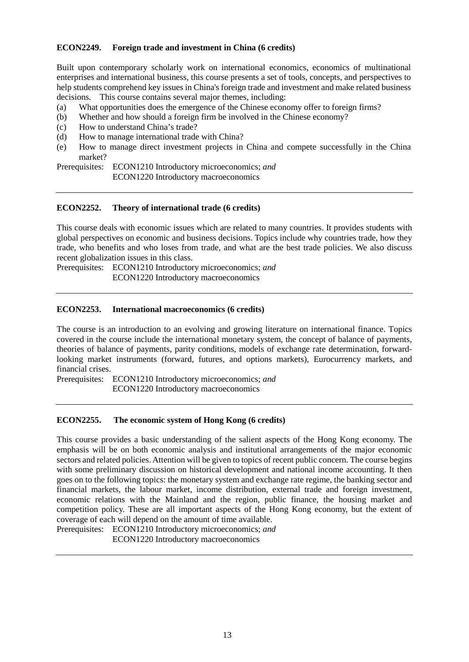## **ECON2249. Foreign trade and investment in China (6 credits)**

Built upon contemporary scholarly work on international economics, economics of multinational enterprises and international business, this course presents a set of tools, concepts, and perspectives to help students comprehend key issues in China's foreign trade and investment and make related business decisions. This course contains several major themes, including:

- (a) What opportunities does the emergence of the Chinese economy offer to foreign firms?
- (b) Whether and how should a foreign firm be involved in the Chinese economy?
- (c) How to understand China's trade?
- (d) How to manage international trade with China?
- (e) How to manage direct investment projects in China and compete successfully in the China market?

Prerequisites: ECON1210 Introductory microeconomics; *and* ECON1220 Introductory macroeconomics

#### **ECON2252. Theory of international trade (6 credits)**

This course deals with economic issues which are related to many countries. It provides students with global perspectives on economic and business decisions. Topics include why countries trade, how they trade, who benefits and who loses from trade, and what are the best trade policies. We also discuss recent globalization issues in this class.

Prerequisites: ECON1210 Introductory microeconomics; *and* ECON1220 Introductory macroeconomics

## **ECON2253. International macroeconomics (6 credits)**

The course is an introduction to an evolving and growing literature on international finance. Topics covered in the course include the international monetary system, the concept of balance of payments, theories of balance of payments, parity conditions, models of exchange rate determination, forwardlooking market instruments (forward, futures, and options markets), Eurocurrency markets, and financial crises.

Prerequisites: ECON1210 Introductory microeconomics; *and* ECON1220 Introductory macroeconomics

#### **ECON2255. The economic system of Hong Kong (6 credits)**

This course provides a basic understanding of the salient aspects of the Hong Kong economy. The emphasis will be on both economic analysis and institutional arrangements of the major economic sectors and related policies. Attention will be given to topics of recent public concern. The course begins with some preliminary discussion on historical development and national income accounting. It then goes on to the following topics: the monetary system and exchange rate regime, the banking sector and financial markets, the labour market, income distribution, external trade and foreign investment, economic relations with the Mainland and the region, public finance, the housing market and competition policy. These are all important aspects of the Hong Kong economy, but the extent of coverage of each will depend on the amount of time available.

Prerequisites: ECON1210 Introductory microeconomics; *and* ECON1220 Introductory macroeconomics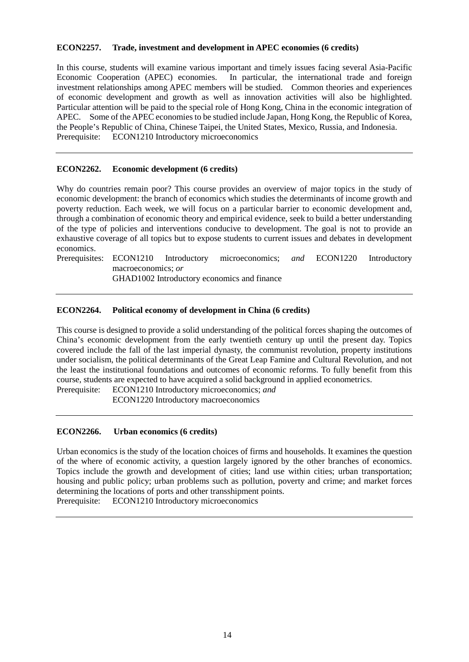#### **ECON2257. Trade, investment and development in APEC economies (6 credits)**

In this course, students will examine various important and timely issues facing several Asia-Pacific Economic Cooperation (APEC) economies. In particular, the international trade and foreign investment relationships among APEC members will be studied. Common theories and experiences of economic development and growth as well as innovation activities will also be highlighted. Particular attention will be paid to the special role of Hong Kong, China in the economic integration of APEC. Some of the APEC economies to be studied include Japan, Hong Kong, the Republic of Korea, the People's Republic of China, Chinese Taipei, the United States, Mexico, Russia, and Indonesia. Prerequisite: ECON1210 Introductory microeconomics

### **ECON2262. Economic development (6 credits)**

Why do countries remain poor? This course provides an overview of major topics in the study of economic development: the branch of economics which studies the determinants of income growth and poverty reduction. Each week, we will focus on a particular barrier to economic development and, through a combination of economic theory and empirical evidence, seek to build a better understanding of the type of policies and interventions conducive to development. The goal is not to provide an exhaustive coverage of all topics but to expose students to current issues and debates in development economics.

Prerequisites: ECON1210 Introductory microeconomics; *and* ECON1220 Introductory macroeconomics; *or*

GHAD1002 Introductory economics and finance

## **ECON2264. Political economy of development in China (6 credits)**

This course is designed to provide a solid understanding of the political forces shaping the outcomes of China's economic development from the early twentieth century up until the present day. Topics covered include the fall of the last imperial dynasty, the communist revolution, property institutions under socialism, the political determinants of the Great Leap Famine and Cultural Revolution, and not the least the institutional foundations and outcomes of economic reforms. To fully benefit from this course, students are expected to have acquired a solid background in applied econometrics.

Prerequisite: ECON1210 Introductory microeconomics; *and* ECON1220 Introductory macroeconomics

#### **ECON2266. Urban economics (6 credits)**

Urban economics is the study of the location choices of firms and households. It examines the question of the where of economic activity, a question largely ignored by the other branches of economics. Topics include the growth and development of cities; land use within cities; urban transportation; housing and public policy; urban problems such as pollution, poverty and crime; and market forces determining the locations of ports and other transshipment points.

Prerequisite: ECON1210 Introductory microeconomics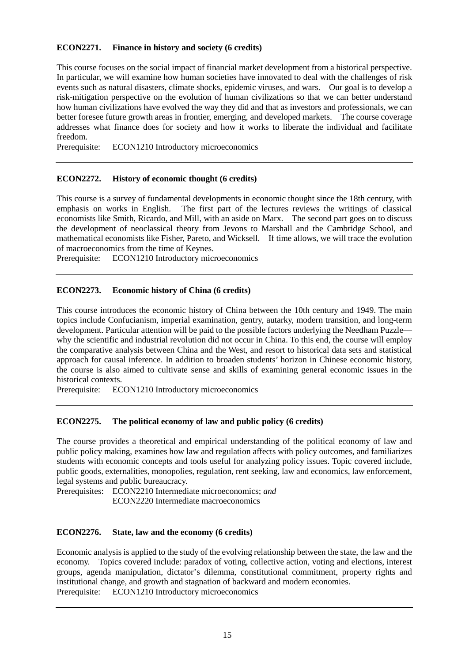## **ECON2271. Finance in history and society (6 credits)**

This course focuses on the social impact of financial market development from a historical perspective. In particular, we will examine how human societies have innovated to deal with the challenges of risk events such as natural disasters, climate shocks, epidemic viruses, and wars. Our goal is to develop a risk-mitigation perspective on the evolution of human civilizations so that we can better understand how human civilizations have evolved the way they did and that as investors and professionals, we can better foresee future growth areas in frontier, emerging, and developed markets. The course coverage addresses what finance does for society and how it works to liberate the individual and facilitate freedom.

Prerequisite: ECON1210 Introductory microeconomics

#### **ECON2272. History of economic thought (6 credits)**

This course is a survey of fundamental developments in economic thought since the 18th century, with emphasis on works in English. The first part of the lectures reviews the writings of classical economists like Smith, Ricardo, and Mill, with an aside on Marx. The second part goes on to discuss the development of neoclassical theory from Jevons to Marshall and the Cambridge School, and mathematical economists like Fisher, Pareto, and Wicksell. If time allows, we will trace the evolution of macroeconomics from the time of Keynes.

Prerequisite: ECON1210 Introductory microeconomics

## **ECON2273. Economic history of China (6 credits)**

This course introduces the economic history of China between the 10th century and 1949. The main topics include Confucianism, imperial examination, gentry, autarky, modern transition, and long-term development. Particular attention will be paid to the possible factors underlying the Needham Puzzle why the scientific and industrial revolution did not occur in China. To this end, the course will employ the comparative analysis between China and the West, and resort to historical data sets and statistical approach for causal inference. In addition to broaden students' horizon in Chinese economic history, the course is also aimed to cultivate sense and skills of examining general economic issues in the historical contexts.

Prerequisite: ECON1210 Introductory microeconomics

#### **ECON2275. The political economy of law and public policy (6 credits)**

The course provides a theoretical and empirical understanding of the political economy of law and public policy making, examines how law and regulation affects with policy outcomes, and familiarizes students with economic concepts and tools useful for analyzing policy issues. Topic covered include, public goods, externalities, monopolies, regulation, rent seeking, law and economics, law enforcement, legal systems and public bureaucracy.

Prerequisites: ECON2210 Intermediate microeconomics; *and* ECON2220 Intermediate macroeconomics

#### **ECON2276. State, law and the economy (6 credits)**

Economic analysis is applied to the study of the evolving relationship between the state, the law and the economy. Topics covered include: paradox of voting, collective action, voting and elections, interest groups, agenda manipulation, dictator's dilemma, constitutional commitment, property rights and institutional change, and growth and stagnation of backward and modern economies. Prerequisite: ECON1210 Introductory microeconomics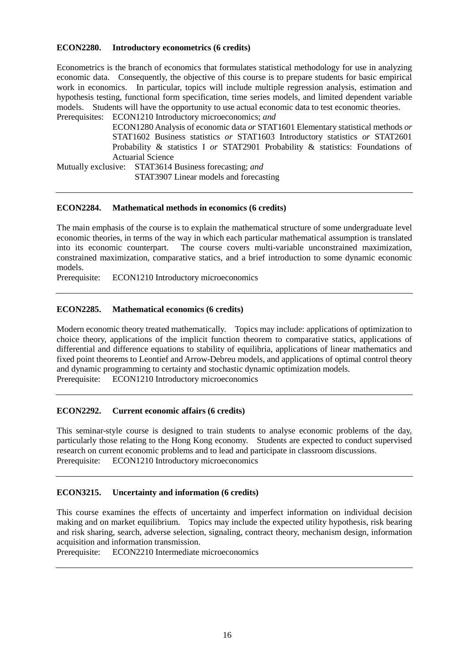### **ECON2280. Introductory econometrics (6 credits)**

Econometrics is the branch of economics that formulates statistical methodology for use in analyzing economic data. Consequently, the objective of this course is to prepare students for basic empirical work in economics. In particular, topics will include multiple regression analysis, estimation and hypothesis testing, functional form specification, time series models, and limited dependent variable models. Students will have the opportunity to use actual economic data to test economic theories. Prerequisites: ECON1210 Introductory microeconomics; *and*

ECON1280 Analysis of economic data *or* STAT1601 Elementary statistical methods *or*  STAT1602 Business statistics *or* STAT1603 Introductory statistics *or* STAT2601 Probability & statistics I *or* STAT2901 Probability & statistics: Foundations of Actuarial Science

Mutually exclusive: STAT3614 Business forecasting; *and* STAT3907 Linear models and forecasting

#### **ECON2284. Mathematical methods in economics (6 credits)**

The main emphasis of the course is to explain the mathematical structure of some undergraduate level economic theories, in terms of the way in which each particular mathematical assumption is translated into its economic counterpart. The course covers multi-variable unconstrained maximization, constrained maximization, comparative statics, and a brief introduction to some dynamic economic models.

Prerequisite: ECON1210 Introductory microeconomics

## **ECON2285. Mathematical economics (6 credits)**

Modern economic theory treated mathematically. Topics may include: applications of optimization to choice theory, applications of the implicit function theorem to comparative statics, applications of differential and difference equations to stability of equilibria, applications of linear mathematics and fixed point theorems to Leontief and Arrow-Debreu models, and applications of optimal control theory and dynamic programming to certainty and stochastic dynamic optimization models. Prerequisite: ECON1210 Introductory microeconomics

#### **ECON2292. Current economic affairs (6 credits)**

This seminar-style course is designed to train students to analyse economic problems of the day, particularly those relating to the Hong Kong economy. Students are expected to conduct supervised research on current economic problems and to lead and participate in classroom discussions. Prerequisite: ECON1210 Introductory microeconomics

#### **ECON3215. Uncertainty and information (6 credits)**

This course examines the effects of uncertainty and imperfect information on individual decision making and on market equilibrium. Topics may include the expected utility hypothesis, risk bearing and risk sharing, search, adverse selection, signaling, contract theory, mechanism design, information acquisition and information transmission.

Prerequisite: ECON2210 Intermediate microeconomics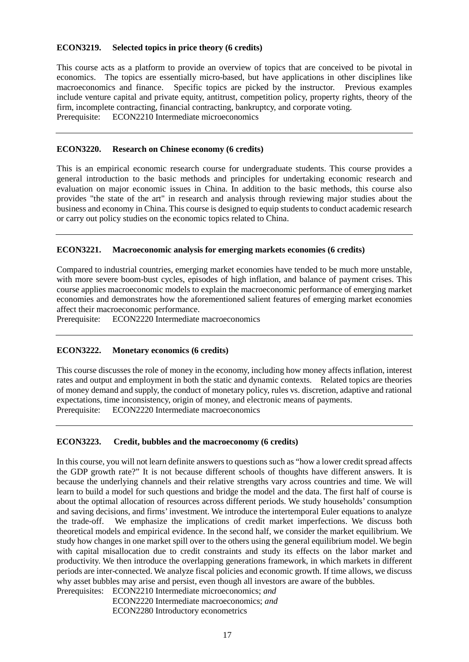### **ECON3219. Selected topics in price theory (6 credits)**

This course acts as a platform to provide an overview of topics that are conceived to be pivotal in economics. The topics are essentially micro-based, but have applications in other disciplines like macroeconomics and finance. Specific topics are picked by the instructor. Previous examples include venture capital and private equity, antitrust, competition policy, property rights, theory of the firm, incomplete contracting, financial contracting, bankruptcy, and corporate voting. Prerequisite: ECON2210 Intermediate microeconomics

#### **ECON3220. Research on Chinese economy (6 credits)**

This is an empirical economic research course for undergraduate students. This course provides a general introduction to the basic methods and principles for undertaking economic research and evaluation on major economic issues in China. In addition to the basic methods, this course also provides "the state of the art" in research and analysis through reviewing major studies about the business and economy in China. This course is designed to equip students to conduct academic research or carry out policy studies on the economic topics related to China.

#### **ECON3221. Macroeconomic analysis for emerging markets economies (6 credits)**

Compared to industrial countries, emerging market economies have tended to be much more unstable, with more severe boom-bust cycles, episodes of high inflation, and balance of payment crises. This course applies macroeconomic models to explain the macroeconomic performance of emerging market economies and demonstrates how the aforementioned salient features of emerging market economies affect their macroeconomic performance.

Prerequisite: ECON2220 Intermediate macroeconomics

#### **ECON3222. Monetary economics (6 credits)**

This course discusses the role of money in the economy, including how money affects inflation, interest rates and output and employment in both the static and dynamic contexts. Related topics are theories of money demand and supply, the conduct of monetary policy, rules vs. discretion, adaptive and rational expectations, time inconsistency, origin of money, and electronic means of payments.<br>Prerequisite: ECON2220 Intermediate macroeconomics ECON2220 Intermediate macroeconomics

#### **ECON3223. Credit, bubbles and the macroeconomy (6 credits)**

In this course, you will not learn definite answers to questions such as "how a lower credit spread affects the GDP growth rate?" It is not because different schools of thoughts have different answers. It is because the underlying channels and their relative strengths vary across countries and time. We will learn to build a model for such questions and bridge the model and the data. The first half of course is about the optimal allocation of resources across different periods. We study households' consumption and saving decisions, and firms' investment. We introduce the intertemporal Euler equations to analyze the trade-off. We emphasize the implications of credit market imperfections. We discuss both theoretical models and empirical evidence. In the second half, we consider the market equilibrium. We study how changes in one market spill over to the others using the general equilibrium model. We begin with capital misallocation due to credit constraints and study its effects on the labor market and productivity. We then introduce the overlapping generations framework, in which markets in different periods are inter-connected. We analyze fiscal policies and economic growth. If time allows, we discuss why asset bubbles may arise and persist, even though all investors are aware of the bubbles. Prerequisites: ECON2210 Intermediate microeconomics; *and*

ECON2220 Intermediate macroeconomics; *and* ECON2280 Introductory econometrics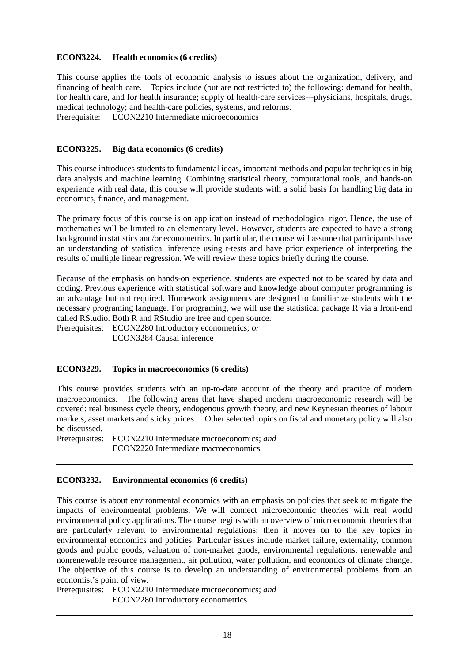## **ECON3224. Health economics (6 credits)**

This course applies the tools of economic analysis to issues about the organization, delivery, and financing of health care. Topics include (but are not restricted to) the following: demand for health, for health care, and for health insurance; supply of health-care services---physicians, hospitals, drugs, medical technology; and health-care policies, systems, and reforms. Prerequisite: ECON2210 Intermediate microeconomics

## **ECON3225. Big data economics (6 credits)**

This course introduces students to fundamental ideas, important methods and popular techniques in big data analysis and machine learning. Combining statistical theory, computational tools, and hands-on experience with real data, this course will provide students with a solid basis for handling big data in economics, finance, and management.

The primary focus of this course is on application instead of methodological rigor. Hence, the use of mathematics will be limited to an elementary level. However, students are expected to have a strong background in statistics and/or econometrics. In particular, the course will assume that participants have an understanding of statistical inference using t-tests and have prior experience of interpreting the results of multiple linear regression. We will review these topics briefly during the course.

Because of the emphasis on hands-on experience, students are expected not to be scared by data and coding. Previous experience with statistical software and knowledge about computer programming is an advantage but not required. Homework assignments are designed to familiarize students with the necessary programing language. For programing, we will use the statistical package R via a front-end called RStudio. Both R and RStudio are free and open source.

Prerequisites: ECON2280 Introductory econometrics; *or*

ECON3284 Causal inference

#### **ECON3229. Topics in macroeconomics (6 credits)**

This course provides students with an up-to-date account of the theory and practice of modern macroeconomics. The following areas that have shaped modern macroeconomic research will be covered: real business cycle theory, endogenous growth theory, and new Keynesian theories of labour markets, asset markets and sticky prices. Other selected topics on fiscal and monetary policy will also be discussed.

Prerequisites: ECON2210 Intermediate microeconomics; *and* ECON2220 Intermediate macroeconomics

#### **ECON3232. Environmental economics (6 credits)**

This course is about environmental economics with an emphasis on policies that seek to mitigate the impacts of environmental problems. We will connect microeconomic theories with real world environmental policy applications. The course begins with an overview of microeconomic theories that are particularly relevant to environmental regulations; then it moves on to the key topics in environmental economics and policies. Particular issues include market failure, externality, common goods and public goods, valuation of non-market goods, environmental regulations, renewable and nonrenewable resource management, air pollution, water pollution, and economics of climate change. The objective of this course is to develop an understanding of environmental problems from an economist's point of view.

Prerequisites: ECON2210 Intermediate microeconomics; *and*

ECON2280 Introductory econometrics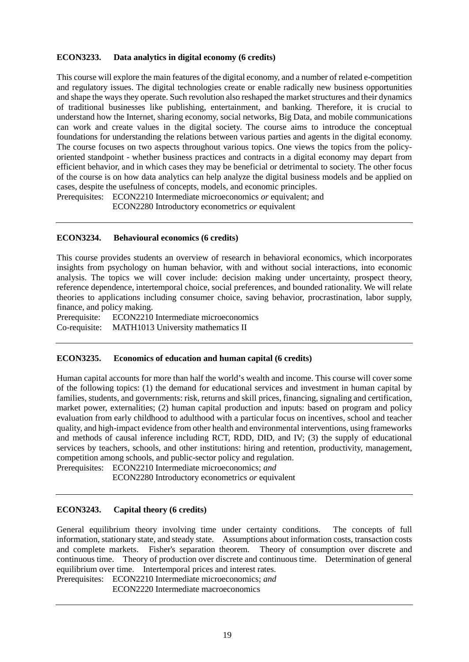## **ECON3233. Data analytics in digital economy (6 credits)**

This course will explore the main features of the digital economy, and a number of related e-competition and regulatory issues. The digital technologies create or enable radically new business opportunities and shape the ways they operate. Such revolution also reshaped the market structures and their dynamics of traditional businesses like publishing, entertainment, and banking. Therefore, it is crucial to understand how the Internet, sharing economy, social networks, Big Data, and mobile communications can work and create values in the digital society. The course aims to introduce the conceptual foundations for understanding the relations between various parties and agents in the digital economy. The course focuses on two aspects throughout various topics. One views the topics from the policyoriented standpoint - whether business practices and contracts in a digital economy may depart from efficient behavior, and in which cases they may be beneficial or detrimental to society. The other focus of the course is on how data analytics can help analyze the digital business models and be applied on cases, despite the usefulness of concepts, models, and economic principles.

Prerequisites: ECON2210 Intermediate microeconomics *or* equivalent; and ECON2280 Introductory econometrics *or* equivalent

#### **ECON3234. Behavioural economics (6 credits)**

This course provides students an overview of research in behavioral economics, which incorporates insights from psychology on human behavior, with and without social interactions, into economic analysis. The topics we will cover include: decision making under uncertainty, prospect theory, reference dependence, intertemporal choice, social preferences, and bounded rationality. We will relate theories to applications including consumer choice, saving behavior, procrastination, labor supply, finance, and policy making.

Prerequisite: ECON2210 Intermediate microeconomics Co-requisite: MATH1013 University mathematics II

#### **ECON3235. Economics of education and human capital (6 credits)**

Human capital accounts for more than half the world's wealth and income. This course will cover some of the following topics: (1) the demand for educational services and investment in human capital by families, students, and governments: risk, returns and skill prices, financing, signaling and certification, market power, externalities; (2) human capital production and inputs: based on program and policy evaluation from early childhood to adulthood with a particular focus on incentives, school and teacher quality, and high-impact evidence from other health and environmental interventions, using frameworks and methods of causal inference including RCT, RDD, DID, and IV; (3) the supply of educational services by teachers, schools, and other institutions: hiring and retention, productivity, management, competition among schools, and public-sector policy and regulation.

Prerequisites: ECON2210 Intermediate microeconomics; *and* ECON2280 Introductory econometrics *or* equivalent

#### **ECON3243. Capital theory (6 credits)**

General equilibrium theory involving time under certainty conditions. The concepts of full information, stationary state, and steady state. Assumptions about information costs, transaction costs and complete markets. Fisher's separation theorem. Theory of consumption over discrete and continuous time. Theory of production over discrete and continuous time. Determination of general equilibrium over time. Intertemporal prices and interest rates.

Prerequisites: ECON2210 Intermediate microeconomics; *and*

ECON2220 Intermediate macroeconomics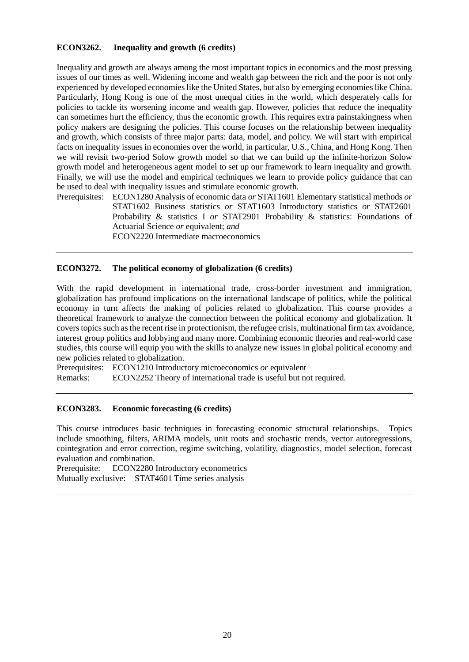## **ECON3262. Inequality and growth (6 credits)**

Inequality and growth are always among the most important topics in economics and the most pressing issues of our times as well. Widening income and wealth gap between the rich and the poor is not only experienced by developed economies like the United States, but also by emerging economies like China. Particularly, Hong Kong is one of the most unequal cities in the world, which desperately calls for policies to tackle its worsening income and wealth gap. However, policies that reduce the inequality can sometimes hurt the efficiency, thus the economic growth. This requires extra painstakingness when policy makers are designing the policies. This course focuses on the relationship between inequality and growth, which consists of three major parts: data, model, and policy. We will start with empirical facts on inequality issues in economies over the world, in particular, U.S., China, and Hong Kong. Then we will revisit two-period Solow growth model so that we can build up the infinite-horizon Solow growth model and heterogeneous agent model to set up our framework to learn inequality and growth. Finally, we will use the model and empirical techniques we learn to provide policy guidance that can be used to deal with inequality issues and stimulate economic growth.

Prerequisites: ECON1280 Analysis of economic data *or* STAT1601 Elementary statistical methods *or* STAT1602 Business statistics *or* STAT1603 Introductory statistics *or* STAT2601 Probability & statistics I *or* STAT2901 Probability & statistics: Foundations of Actuarial Science *or* equivalent; *and*

ECON2220 Intermediate macroeconomics

#### **ECON3272. The political economy of globalization (6 credits)**

With the rapid development in international trade, cross-border investment and immigration, globalization has profound implications on the international landscape of politics, while the political economy in turn affects the making of policies related to globalization. This course provides a theoretical framework to analyze the connection between the political economy and globalization. It covers topics such as the recent rise in protectionism, the refugee crisis, multinational firm tax avoidance, interest group politics and lobbying and many more. Combining economic theories and real-world case studies, this course will equip you with the skills to analyze new issues in global political economy and new policies related to globalization.

Prerequisites: ECON1210 Introductory microeconomics *or* equivalent

Remarks: ECON2252 Theory of international trade is useful but not required.

## **ECON3283. Economic forecasting (6 credits)**

This course introduces basic techniques in forecasting economic structural relationships. Topics include smoothing, filters, ARIMA models, unit roots and stochastic trends, vector autoregressions, cointegration and error correction, regime switching, volatility, diagnostics, model selection, forecast evaluation and combination.

Prerequisite: ECON2280 Introductory econometrics Mutually exclusive: STAT4601 Time series analysis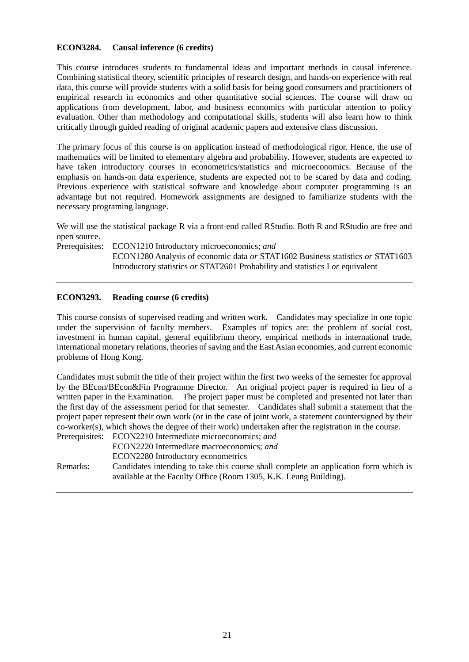## **ECON3284. Causal inference (6 credits)**

This course introduces students to fundamental ideas and important methods in causal inference. Combining statistical theory, scientific principles of research design, and hands-on experience with real data, this course will provide students with a solid basis for being good consumers and practitioners of empirical research in economics and other quantitative social sciences. The course will draw on applications from development, labor, and business economics with particular attention to policy evaluation. Other than methodology and computational skills, students will also learn how to think critically through guided reading of original academic papers and extensive class discussion.

The primary focus of this course is on application instead of methodological rigor. Hence, the use of mathematics will be limited to elementary algebra and probability. However, students are expected to have taken introductory courses in econometrics/statistics and microeconomics. Because of the emphasis on hands-on data experience, students are expected not to be scared by data and coding. Previous experience with statistical software and knowledge about computer programming is an advantage but not required. Homework assignments are designed to familiarize students with the necessary programing language.

We will use the statistical package R via a front-end called RStudio. Both R and RStudio are free and open source.

Prerequisites: ECON1210 Introductory microeconomics; *and* ECON1280 Analysis of economic data *or* STAT1602 Business statistics *or* STAT1603 Introductory statistics *or* STAT2601 Probability and statistics I *or* equivalent

## **ECON3293. Reading course (6 credits)**

This course consists of supervised reading and written work. Candidates may specialize in one topic under the supervision of faculty members. Examples of topics are: the problem of social cost, investment in human capital, general equilibrium theory, empirical methods in international trade, international monetary relations, theories of saving and the East Asian economies, and current economic problems of Hong Kong.

Candidates must submit the title of their project within the first two weeks of the semester for approval by the BEcon/BEcon&Fin Programme Director. An original project paper is required in lieu of a written paper in the Examination. The project paper must be completed and presented not later than the first day of the assessment period for that semester. Candidates shall submit a statement that the project paper represent their own work (or in the case of joint work, a statement countersigned by their co-worker(s), which shows the degree of their work) undertaken after the registration in the course. Prerequisites: ECON2210 Intermediate microeconomics; *and*

ECON2220 Intermediate macroeconomics; *and* ECON2280 Introductory econometrics Remarks: Candidates intending to take this course shall complete an application form which is available at the Faculty Office (Room 1305, K.K. Leung Building).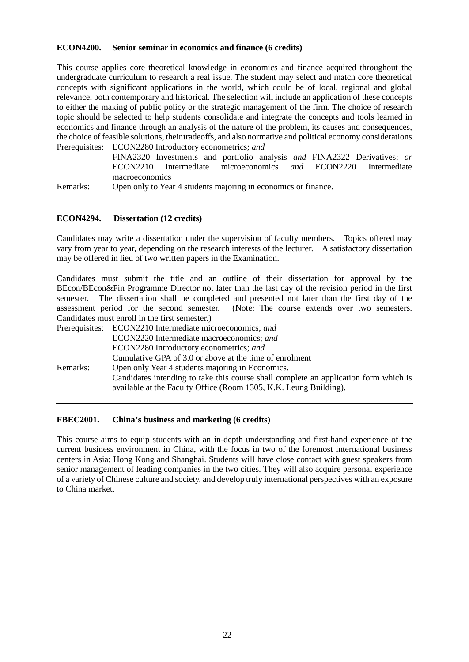#### **ECON4200. Senior seminar in economics and finance (6 credits)**

This course applies core theoretical knowledge in economics and finance acquired throughout the undergraduate curriculum to research a real issue. The student may select and match core theoretical concepts with significant applications in the world, which could be of local, regional and global relevance, both contemporary and historical. The selection will include an application of these concepts to either the making of public policy or the strategic management of the firm. The choice of research topic should be selected to help students consolidate and integrate the concepts and tools learned in economics and finance through an analysis of the nature of the problem, its causes and consequences, the choice of feasible solutions, their tradeoffs, and also normative and political economy considerations. Prerequisites: ECON2280 Introductory econometrics; *and*

FINA2320 Investments and portfolio analysis *and* FINA2322 Derivatives; *or* ECON2210 Intermediate microeconomics *and* ECON2220 Intermediate macroeconomics

Remarks: Open only to Year 4 students majoring in economics or finance.

#### **ECON4294. Dissertation (12 credits)**

Candidates may write a dissertation under the supervision of faculty members. Topics offered may vary from year to year, depending on the research interests of the lecturer. A satisfactory dissertation may be offered in lieu of two written papers in the Examination.

Candidates must submit the title and an outline of their dissertation for approval by the BEcon/BEcon&Fin Programme Director not later than the last day of the revision period in the first semester. The dissertation shall be completed and presented not later than the first day of the assessment period for the second semester. (Note: The course extends over two semesters. Candidates must enroll in the first semester.)

|          | Prerequisites: ECON2210 Intermediate microeconomics; and                                                                                                  |
|----------|-----------------------------------------------------------------------------------------------------------------------------------------------------------|
|          | ECON2220 Intermediate macroeconomics; and                                                                                                                 |
|          | ECON2280 Introductory econometrics; and                                                                                                                   |
|          | Cumulative GPA of 3.0 or above at the time of enrolment                                                                                                   |
| Remarks: | Open only Year 4 students majoring in Economics.                                                                                                          |
|          | Candidates intending to take this course shall complete an application form which is<br>available at the Faculty Office (Room 1305, K.K. Leung Building). |
|          |                                                                                                                                                           |

#### **FBEC2001. China's business and marketing (6 credits)**

This course aims to equip students with an in-depth understanding and first-hand experience of the current business environment in China, with the focus in two of the foremost international business centers in Asia: Hong Kong and Shanghai. Students will have close contact with guest speakers from senior management of leading companies in the two cities. They will also acquire personal experience of a variety of Chinese culture and society, and develop truly international perspectives with an exposure to China market.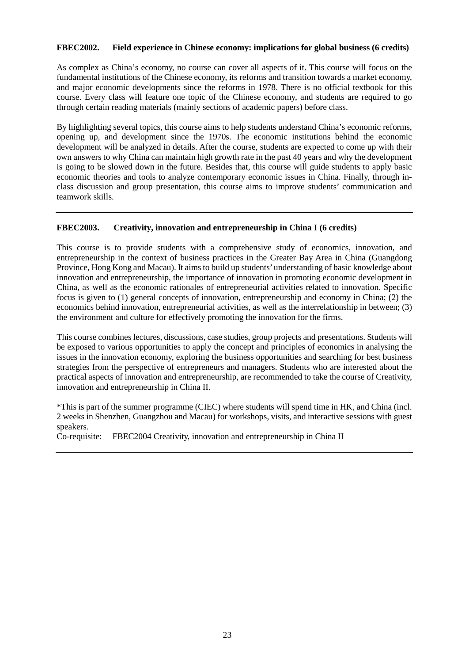## **FBEC2002. Field experience in Chinese economy: implications for global business (6 credits)**

As complex as China's economy, no course can cover all aspects of it. This course will focus on the fundamental institutions of the Chinese economy, its reforms and transition towards a market economy, and major economic developments since the reforms in 1978. There is no official textbook for this course. Every class will feature one topic of the Chinese economy, and students are required to go through certain reading materials (mainly sections of academic papers) before class.

By highlighting several topics, this course aims to help students understand China's economic reforms, opening up, and development since the 1970s. The economic institutions behind the economic development will be analyzed in details. After the course, students are expected to come up with their own answers to why China can maintain high growth rate in the past 40 years and why the development is going to be slowed down in the future. Besides that, this course will guide students to apply basic economic theories and tools to analyze contemporary economic issues in China. Finally, through inclass discussion and group presentation, this course aims to improve students' communication and teamwork skills.

## **FBEC2003. Creativity, innovation and entrepreneurship in China I (6 credits)**

This course is to provide students with a comprehensive study of economics, innovation, and entrepreneurship in the context of business practices in the Greater Bay Area in China (Guangdong Province, Hong Kong and Macau). It aims to build up students' understanding of basic knowledge about innovation and entrepreneurship, the importance of innovation in promoting economic development in China, as well as the economic rationales of entrepreneurial activities related to innovation. Specific focus is given to (1) general concepts of innovation, entrepreneurship and economy in China; (2) the economics behind innovation, entrepreneurial activities, as well as the interrelationship in between; (3) the environment and culture for effectively promoting the innovation for the firms.

This course combines lectures, discussions, case studies, group projects and presentations. Students will be exposed to various opportunities to apply the concept and principles of economics in analysing the issues in the innovation economy, exploring the business opportunities and searching for best business strategies from the perspective of entrepreneurs and managers. Students who are interested about the practical aspects of innovation and entrepreneurship, are recommended to take the course of Creativity, innovation and entrepreneurship in China II.

\*This is part of the summer programme (CIEC) where students will spend time in HK, and China (incl. 2 weeks in Shenzhen, Guangzhou and Macau) for workshops, visits, and interactive sessions with guest speakers.

Co-requisite: FBEC2004 Creativity, innovation and entrepreneurship in China II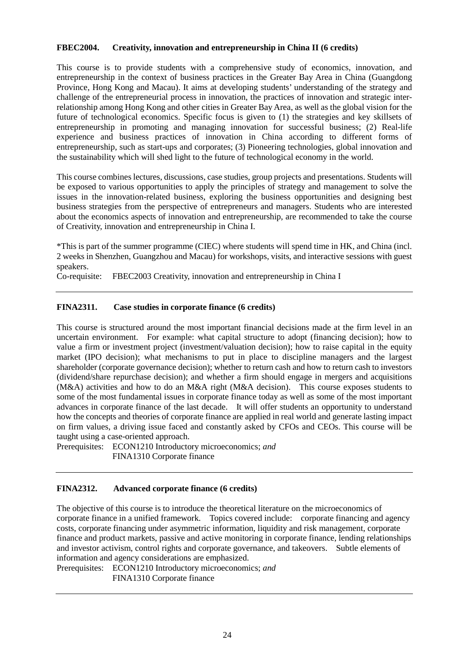## **FBEC2004. Creativity, innovation and entrepreneurship in China II (6 credits)**

This course is to provide students with a comprehensive study of economics, innovation, and entrepreneurship in the context of business practices in the Greater Bay Area in China (Guangdong Province, Hong Kong and Macau). It aims at developing students' understanding of the strategy and challenge of the entrepreneurial process in innovation, the practices of innovation and strategic interrelationship among Hong Kong and other cities in Greater Bay Area, as well as the global vision for the future of technological economics. Specific focus is given to (1) the strategies and key skillsets of entrepreneurship in promoting and managing innovation for successful business; (2) Real-life experience and business practices of innovation in China according to different forms of entrepreneurship, such as start-ups and corporates; (3) Pioneering technologies, global innovation and the sustainability which will shed light to the future of technological economy in the world.

This course combines lectures, discussions, case studies, group projects and presentations. Students will be exposed to various opportunities to apply the principles of strategy and management to solve the issues in the innovation-related business, exploring the business opportunities and designing best business strategies from the perspective of entrepreneurs and managers. Students who are interested about the economics aspects of innovation and entrepreneurship, are recommended to take the course of Creativity, innovation and entrepreneurship in China I.

\*This is part of the summer programme (CIEC) where students will spend time in HK, and China (incl. 2 weeks in Shenzhen, Guangzhou and Macau) for workshops, visits, and interactive sessions with guest speakers.

Co-requisite: FBEC2003 Creativity, innovation and entrepreneurship in China I

# **FINA2311. Case studies in corporate finance (6 credits)**

This course is structured around the most important financial decisions made at the firm level in an uncertain environment. For example: what capital structure to adopt (financing decision); how to value a firm or investment project (investment/valuation decision); how to raise capital in the equity market (IPO decision); what mechanisms to put in place to discipline managers and the largest shareholder (corporate governance decision); whether to return cash and how to return cash to investors (dividend/share repurchase decision); and whether a firm should engage in mergers and acquisitions (M&A) activities and how to do an M&A right (M&A decision). This course exposes students to some of the most fundamental issues in corporate finance today as well as some of the most important advances in corporate finance of the last decade. It will offer students an opportunity to understand how the concepts and theories of corporate finance are applied in real world and generate lasting impact on firm values, a driving issue faced and constantly asked by CFOs and CEOs. This course will be taught using a case-oriented approach.

Prerequisites: ECON1210 Introductory microeconomics; *and* FINA1310 Corporate finance

# **FINA2312. Advanced corporate finance (6 credits)**

The objective of this course is to introduce the theoretical literature on the microeconomics of corporate finance in a unified framework. Topics covered include: corporate financing and agency costs, corporate financing under asymmetric information, liquidity and risk management, corporate finance and product markets, passive and active monitoring in corporate finance, lending relationships and investor activism, control rights and corporate governance, and takeovers. Subtle elements of information and agency considerations are emphasized.

Prerequisites: ECON1210 Introductory microeconomics; *and* FINA1310 Corporate finance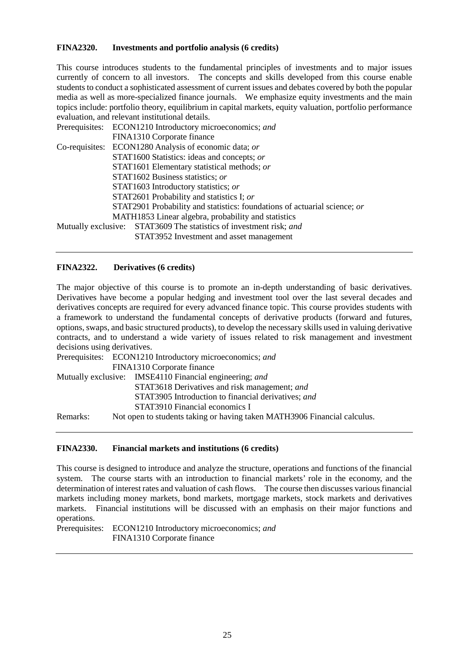## **FINA2320. Investments and portfolio analysis (6 credits)**

This course introduces students to the fundamental principles of investments and to major issues currently of concern to all investors. The concepts and skills developed from this course enable students to conduct a sophisticated assessment of current issues and debates covered by both the popular media as well as more-specialized finance journals. We emphasize equity investments and the main topics include: portfolio theory, equilibrium in capital markets, equity valuation, portfolio performance evaluation, and relevant institutional details.

|  | Prerequisites: ECON1210 Introductory microeconomics; and                  |
|--|---------------------------------------------------------------------------|
|  | FINA1310 Corporate finance                                                |
|  | Co-requisites: ECON1280 Analysis of economic data; or                     |
|  | STAT1600 Statistics: ideas and concepts; or                               |
|  | STAT1601 Elementary statistical methods; or                               |
|  | STAT1602 Business statistics; or                                          |
|  | STAT1603 Introductory statistics; or                                      |
|  | STAT2601 Probability and statistics I; or                                 |
|  | STAT2901 Probability and statistics: foundations of actuarial science; or |
|  | MATH1853 Linear algebra, probability and statistics                       |
|  | Mutually exclusive: STAT3609 The statistics of investment risk; and       |
|  | STAT3952 Investment and asset management                                  |

## **FINA2322. Derivatives (6 credits)**

The major objective of this course is to promote an in-depth understanding of basic derivatives. Derivatives have become a popular hedging and investment tool over the last several decades and derivatives concepts are required for every advanced finance topic. This course provides students with a framework to understand the fundamental concepts of derivative products (forward and futures, options, swaps, and basic structured products), to develop the necessary skills used in valuing derivative contracts, and to understand a wide variety of issues related to risk management and investment decisions using derivatives.

|          | Prerequisites: ECON1210 Introductory microeconomics; and                 |
|----------|--------------------------------------------------------------------------|
|          | FINA1310 Corporate finance                                               |
|          | Mutually exclusive: IMSE4110 Financial engineering; and                  |
|          | STAT3618 Derivatives and risk management; and                            |
|          | STAT3905 Introduction to financial derivatives; and                      |
|          | STAT3910 Financial economics I                                           |
| Remarks: | Not open to students taking or having taken MATH3906 Financial calculus. |

#### **FINA2330. Financial markets and institutions (6 credits)**

This course is designed to introduce and analyze the structure, operations and functions of the financial system. The course starts with an introduction to financial markets' role in the economy, and the determination of interest rates and valuation of cash flows. The course then discusses various financial markets including money markets, bond markets, mortgage markets, stock markets and derivatives markets. Financial institutions will be discussed with an emphasis on their major functions and operations.

Prerequisites: ECON1210 Introductory microeconomics; *and* FINA1310 Corporate finance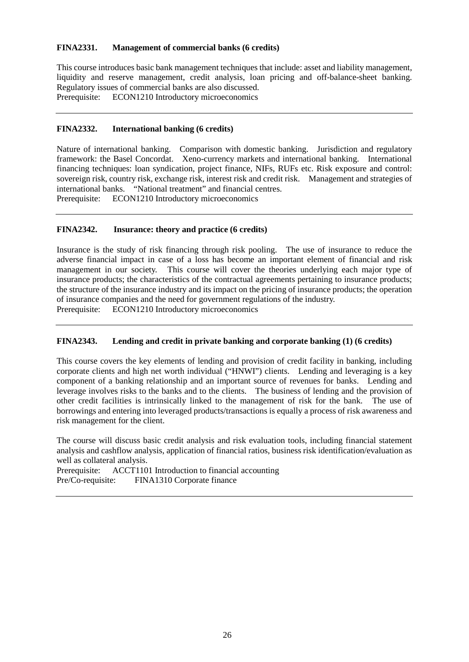## **FINA2331. Management of commercial banks (6 credits)**

This course introduces basic bank management techniques that include: asset and liability management, liquidity and reserve management, credit analysis, loan pricing and off-balance-sheet banking. Regulatory issues of commercial banks are also discussed. Prerequisite: ECON1210 Introductory microeconomics

## **FINA2332. International banking (6 credits)**

Nature of international banking. Comparison with domestic banking. Jurisdiction and regulatory framework: the Basel Concordat. Xeno-currency markets and international banking. International financing techniques: loan syndication, project finance, NIFs, RUFs etc. Risk exposure and control: sovereign risk, country risk, exchange risk, interest risk and credit risk. Management and strategies of international banks. "National treatment" and financial centres.

Prerequisite: ECON1210 Introductory microeconomics

## **FINA2342. Insurance: theory and practice (6 credits)**

Insurance is the study of risk financing through risk pooling. The use of insurance to reduce the adverse financial impact in case of a loss has become an important element of financial and risk management in our society. This course will cover the theories underlying each major type of insurance products; the characteristics of the contractual agreements pertaining to insurance products; the structure of the insurance industry and its impact on the pricing of insurance products; the operation of insurance companies and the need for government regulations of the industry.

Prerequisite: ECON1210 Introductory microeconomics

## **FINA2343. Lending and credit in private banking and corporate banking (1) (6 credits)**

This course covers the key elements of lending and provision of credit facility in banking, including corporate clients and high net worth individual ("HNWI") clients. Lending and leveraging is a key component of a banking relationship and an important source of revenues for banks. Lending and leverage involves risks to the banks and to the clients. The business of lending and the provision of other credit facilities is intrinsically linked to the management of risk for the bank. The use of borrowings and entering into leveraged products/transactions is equally a process of risk awareness and risk management for the client.

The course will discuss basic credit analysis and risk evaluation tools, including financial statement analysis and cashflow analysis, application of financial ratios, business risk identification/evaluation as well as collateral analysis.

Prerequisite: ACCT1101 Introduction to financial accounting Pre/Co-requisite: FINA1310 Corporate finance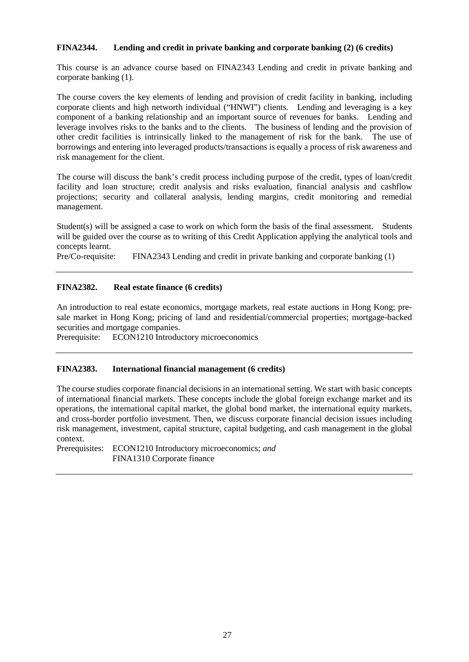## **FINA2344. Lending and credit in private banking and corporate banking (2) (6 credits)**

This course is an advance course based on FINA2343 Lending and credit in private banking and corporate banking (1).

The course covers the key elements of lending and provision of credit facility in banking, including corporate clients and high networth individual ("HNWI") clients. Lending and leveraging is a key component of a banking relationship and an important source of revenues for banks. Lending and leverage involves risks to the banks and to the clients. The business of lending and the provision of other credit facilities is intrinsically linked to the management of risk for the bank. The use of borrowings and entering into leveraged products/transactions is equally a process of risk awareness and risk management for the client.

The course will discuss the bank's credit process including purpose of the credit, types of loan/credit facility and loan structure; credit analysis and risks evaluation, financial analysis and cashflow projections; security and collateral analysis, lending margins, credit monitoring and remedial management.

Student(s) will be assigned a case to work on which form the basis of the final assessment. Students will be guided over the course as to writing of this Credit Application applying the analytical tools and concepts learnt.<br>Pre/Co-requisite:

 $FINA2343$  Lending and credit in private banking and corporate banking  $(1)$ 

## **FINA2382. Real estate finance (6 credits)**

An introduction to real estate economics, mortgage markets, real estate auctions in Hong Kong; presale market in Hong Kong; pricing of land and residential/commercial properties; mortgage-backed securities and mortgage companies.

Prerequisite: ECON1210 Introductory microeconomics

#### **FINA2383. International financial management (6 credits)**

The course studies corporate financial decisions in an international setting. We start with basic concepts of international financial markets. These concepts include the global foreign exchange market and its operations, the international capital market, the global bond market, the international equity markets, and cross-border portfolio investment. Then, we discuss corporate financial decision issues including risk management, investment, capital structure, capital budgeting, and cash management in the global context.

Prerequisites: ECON1210 Introductory microeconomics; *and* FINA1310 Corporate finance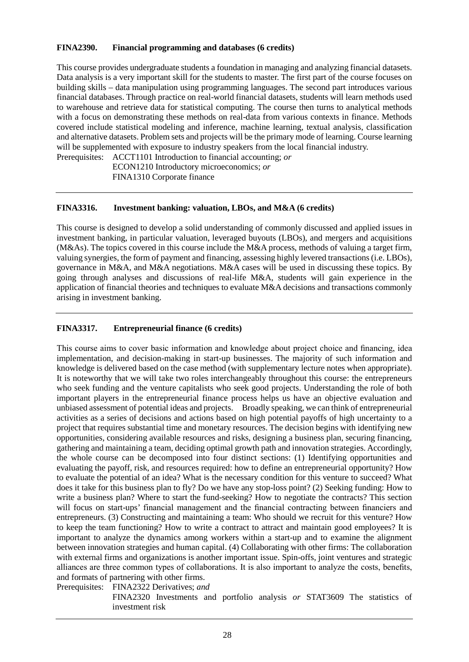## **FINA2390. Financial programming and databases (6 credits)**

This course provides undergraduate students a foundation in managing and analyzing financial datasets. Data analysis is a very important skill for the students to master. The first part of the course focuses on building skills – data manipulation using programming languages. The second part introduces various financial databases. Through practice on real-world financial datasets, students will learn methods used to warehouse and retrieve data for statistical computing. The course then turns to analytical methods with a focus on demonstrating these methods on real-data from various contexts in finance. Methods covered include statistical modeling and inference, machine learning, textual analysis, classification and alternative datasets. Problem sets and projects will be the primary mode of learning. Course learning will be supplemented with exposure to industry speakers from the local financial industry.

Prerequisites: ACCT1101 Introduction to financial accounting; *or*

ECON1210 Introductory microeconomics; *or* FINA1310 Corporate finance

#### **FINA3316. Investment banking: valuation, LBOs, and M&A (6 credits)**

This course is designed to develop a solid understanding of commonly discussed and applied issues in investment banking, in particular valuation, leveraged buyouts (LBOs), and mergers and acquisitions (M&As). The topics covered in this course include the M&A process, methods of valuing a target firm, valuing synergies, the form of payment and financing, assessing highly levered transactions (i.e. LBOs), governance in M&A, and M&A negotiations. M&A cases will be used in discussing these topics. By going through analyses and discussions of real-life M&A, students will gain experience in the application of financial theories and techniques to evaluate M&A decisions and transactions commonly arising in investment banking.

## **FINA3317. Entrepreneurial finance (6 credits)**

This course aims to cover basic information and knowledge about project choice and financing, idea implementation, and decision-making in start-up businesses. The majority of such information and knowledge is delivered based on the case method (with supplementary lecture notes when appropriate). It is noteworthy that we will take two roles interchangeably throughout this course: the entrepreneurs who seek funding and the venture capitalists who seek good projects. Understanding the role of both important players in the entrepreneurial finance process helps us have an objective evaluation and unbiased assessment of potential ideas and projects. Broadly speaking, we can think of entrepreneurial activities as a series of decisions and actions based on high potential payoffs of high uncertainty to a project that requires substantial time and monetary resources. The decision begins with identifying new opportunities, considering available resources and risks, designing a business plan, securing financing, gathering and maintaining a team, deciding optimal growth path and innovation strategies. Accordingly, the whole course can be decomposed into four distinct sections: (1) Identifying opportunities and evaluating the payoff, risk, and resources required: how to define an entrepreneurial opportunity? How to evaluate the potential of an idea? What is the necessary condition for this venture to succeed? What does it take for this business plan to fly? Do we have any stop-loss point? (2) Seeking funding: How to write a business plan? Where to start the fund-seeking? How to negotiate the contracts? This section will focus on start-ups' financial management and the financial contracting between financiers and entrepreneurs. (3) Constructing and maintaining a team: Who should we recruit for this venture? How to keep the team functioning? How to write a contract to attract and maintain good employees? It is important to analyze the dynamics among workers within a start-up and to examine the alignment between innovation strategies and human capital. (4) Collaborating with other firms: The collaboration with external firms and organizations is another important issue. Spin-offs, joint ventures and strategic alliances are three common types of collaborations. It is also important to analyze the costs, benefits, and formats of partnering with other firms.

Prerequisites: FINA2322 Derivatives; *and*

FINA2320 Investments and portfolio analysis *or* STAT3609 The statistics of investment risk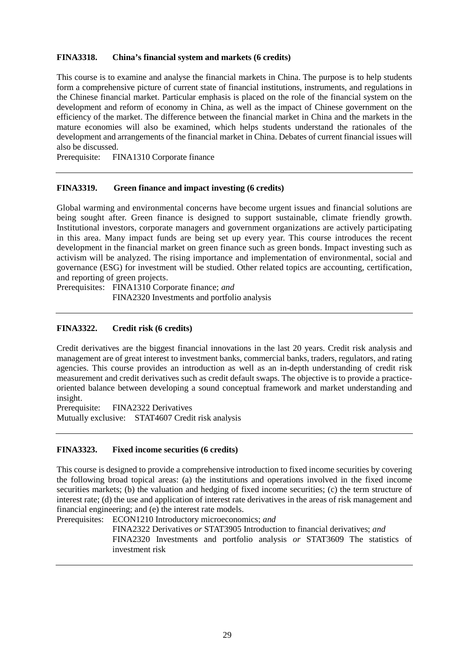### **FINA3318. China's financial system and markets (6 credits)**

This course is to examine and analyse the financial markets in China. The purpose is to help students form a comprehensive picture of current state of financial institutions, instruments, and regulations in the Chinese financial market. Particular emphasis is placed on the role of the financial system on the development and reform of economy in China, as well as the impact of Chinese government on the efficiency of the market. The difference between the financial market in China and the markets in the mature economies will also be examined, which helps students understand the rationales of the development and arrangements of the financial market in China. Debates of current financial issues will also be discussed.

Prerequisite: FINA1310 Corporate finance

#### **FINA3319. Green finance and impact investing (6 credits)**

Global warming and environmental concerns have become urgent issues and financial solutions are being sought after. Green finance is designed to support sustainable, climate friendly growth. Institutional investors, corporate managers and government organizations are actively participating in this area. Many impact funds are being set up every year. This course introduces the recent development in the financial market on green finance such as green bonds. Impact investing such as activism will be analyzed. The rising importance and implementation of environmental, social and governance (ESG) for investment will be studied. Other related topics are accounting, certification, and reporting of green projects.

Prerequisites: FINA1310 Corporate finance; *and* FINA2320 Investments and portfolio analysis

#### **FINA3322. Credit risk (6 credits)**

Credit derivatives are the biggest financial innovations in the last 20 years. Credit risk analysis and management are of great interest to investment banks, commercial banks, traders, regulators, and rating agencies. This course provides an introduction as well as an in-depth understanding of credit risk measurement and credit derivatives such as credit default swaps. The objective is to provide a practiceoriented balance between developing a sound conceptual framework and market understanding and insight.

Prerequisite: FINA2322 Derivatives Mutually exclusive: STAT4607 Credit risk analysis

#### **FINA3323. Fixed income securities (6 credits)**

This course is designed to provide a comprehensive introduction to fixed income securities by covering the following broad topical areas: (a) the institutions and operations involved in the fixed income securities markets; (b) the valuation and hedging of fixed income securities; (c) the term structure of interest rate; (d) the use and application of interest rate derivatives in the areas of risk management and financial engineering; and (e) the interest rate models.

Prerequisites: ECON1210 Introductory microeconomics; *and*

FINA2322 Derivatives *or* STAT3905 Introduction to financial derivatives; *and*

FINA2320 Investments and portfolio analysis *or* STAT3609 The statistics of investment risk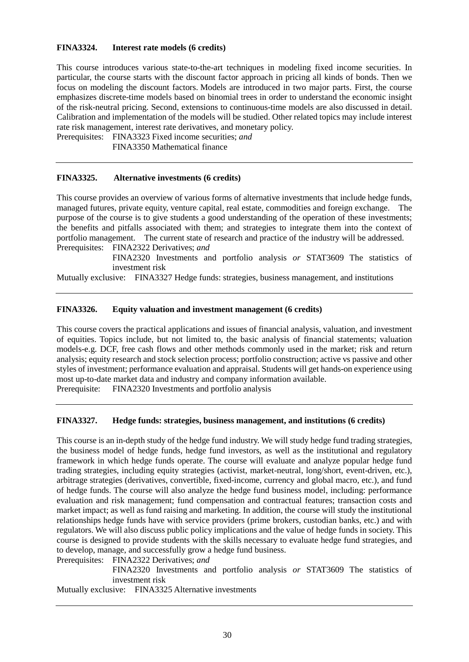### **FINA3324. Interest rate models (6 credits)**

This course introduces various state-to-the-art techniques in modeling fixed income securities. In particular, the course starts with the discount factor approach in pricing all kinds of bonds. Then we focus on modeling the discount factors. Models are introduced in two major parts. First, the course emphasizes discrete-time models based on binomial trees in order to understand the economic insight of the risk-neutral pricing. Second, extensions to continuous-time models are also discussed in detail. Calibration and implementation of the models will be studied. Other related topics may include interest rate risk management, interest rate derivatives, and monetary policy.

Prerequisites: FINA3323 Fixed income securities; *and*

FINA3350 Mathematical finance

## **FINA3325. Alternative investments (6 credits)**

This course provides an overview of various forms of alternative investments that include hedge funds, managed futures, private equity, venture capital, real estate, commodities and foreign exchange. The purpose of the course is to give students a good understanding of the operation of these investments; the benefits and pitfalls associated with them; and strategies to integrate them into the context of portfolio management. The current state of research and practice of the industry will be addressed. Prerequisites: FINA2322 Derivatives; *and*

> FINA2320 Investments and portfolio analysis *or* STAT3609 The statistics of investment risk

Mutually exclusive: FINA3327 Hedge funds: strategies, business management, and institutions

## **FINA3326. Equity valuation and investment management (6 credits)**

This course covers the practical applications and issues of financial analysis, valuation, and investment of equities. Topics include, but not limited to, the basic analysis of financial statements; valuation models-e.g. DCF, free cash flows and other methods commonly used in the market; risk and return analysis; equity research and stock selection process; portfolio construction; active vs passive and other styles of investment; performance evaluation and appraisal. Students will get hands-on experience using most up-to-date market data and industry and company information available.

Prerequisite: FINA2320 Investments and portfolio analysis

#### **FINA3327. Hedge funds: strategies, business management, and institutions (6 credits)**

This course is an in-depth study of the hedge fund industry. We will study hedge fund trading strategies, the business model of hedge funds, hedge fund investors, as well as the institutional and regulatory framework in which hedge funds operate. The course will evaluate and analyze popular hedge fund trading strategies, including equity strategies (activist, market-neutral, long/short, event-driven, etc.), arbitrage strategies (derivatives, convertible, fixed-income, currency and global macro, etc.), and fund of hedge funds. The course will also analyze the hedge fund business model, including: performance evaluation and risk management; fund compensation and contractual features; transaction costs and market impact; as well as fund raising and marketing. In addition, the course will study the institutional relationships hedge funds have with service providers (prime brokers, custodian banks, etc.) and with regulators. We will also discuss public policy implications and the value of hedge funds in society. This course is designed to provide students with the skills necessary to evaluate hedge fund strategies, and to develop, manage, and successfully grow a hedge fund business.

Prerequisites: FINA2322 Derivatives; *and*

FINA2320 Investments and portfolio analysis *or* STAT3609 The statistics of investment risk

Mutually exclusive: FINA3325 Alternative investments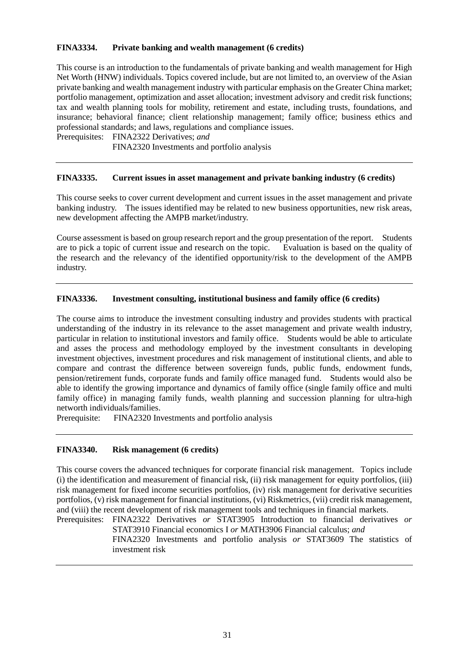## **FINA3334. Private banking and wealth management (6 credits)**

This course is an introduction to the fundamentals of private banking and wealth management for High Net Worth (HNW) individuals. Topics covered include, but are not limited to, an overview of the Asian private banking and wealth management industry with particular emphasis on the Greater China market; portfolio management, optimization and asset allocation; investment advisory and credit risk functions; tax and wealth planning tools for mobility, retirement and estate, including trusts, foundations, and insurance; behavioral finance; client relationship management; family office; business ethics and professional standards; and laws, regulations and compliance issues.

Prerequisites: FINA2322 Derivatives; *and*

FINA2320 Investments and portfolio analysis

#### **FINA3335. Current issues in asset management and private banking industry (6 credits)**

This course seeks to cover current development and current issues in the asset management and private banking industry. The issues identified may be related to new business opportunities, new risk areas, new development affecting the AMPB market/industry.

Course assessment is based on group research report and the group presentation of the report. Students are to pick a topic of current issue and research on the topic. Evaluation is based on the quality of the research and the relevancy of the identified opportunity/risk to the development of the AMPB industry.

#### **FINA3336. Investment consulting, institutional business and family office (6 credits)**

The course aims to introduce the investment consulting industry and provides students with practical understanding of the industry in its relevance to the asset management and private wealth industry, particular in relation to institutional investors and family office. Students would be able to articulate and asses the process and methodology employed by the investment consultants in developing investment objectives, investment procedures and risk management of institutional clients, and able to compare and contrast the difference between sovereign funds, public funds, endowment funds, pension/retirement funds, corporate funds and family office managed fund. Students would also be able to identify the growing importance and dynamics of family office (single family office and multi family office) in managing family funds, wealth planning and succession planning for ultra-high networth individuals/families.

Prerequisite: FINA2320 Investments and portfolio analysis

#### **FINA3340. Risk management (6 credits)**

This course covers the advanced techniques for corporate financial risk management. Topics include (i) the identification and measurement of financial risk, (ii) risk management for equity portfolios, (iii) risk management for fixed income securities portfolios, (iv) risk management for derivative securities portfolios, (v) risk management for financial institutions, (vi) Riskmetrics, (vii) credit risk management, and (viii) the recent development of risk management tools and techniques in financial markets.

Prerequisites: FINA2322 Derivatives *or* STAT3905 Introduction to financial derivatives *or* STAT3910 Financial economics I *or* MATH3906 Financial calculus; *and*

FINA2320 Investments and portfolio analysis *or* STAT3609 The statistics of investment risk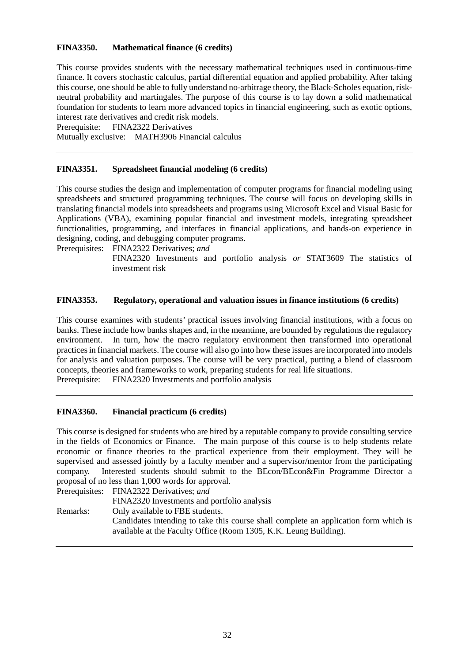## **FINA3350. Mathematical finance (6 credits)**

This course provides students with the necessary mathematical techniques used in continuous-time finance. It covers stochastic calculus, partial differential equation and applied probability. After taking this course, one should be able to fully understand no-arbitrage theory, the Black-Scholes equation, riskneutral probability and martingales. The purpose of this course is to lay down a solid mathematical foundation for students to learn more advanced topics in financial engineering, such as exotic options, interest rate derivatives and credit risk models.

Prerequisite: FINA2322 Derivatives

Mutually exclusive: MATH3906 Financial calculus

#### **FINA3351. Spreadsheet financial modeling (6 credits)**

This course studies the design and implementation of computer programs for financial modeling using spreadsheets and structured programming techniques. The course will focus on developing skills in translating financial models into spreadsheets and programs using Microsoft Excel and Visual Basic for Applications (VBA), examining popular financial and investment models, integrating spreadsheet functionalities, programming, and interfaces in financial applications, and hands-on experience in designing, coding, and debugging computer programs.

Prerequisites: FINA2322 Derivatives; *and*

FINA2320 Investments and portfolio analysis *or* STAT3609 The statistics of investment risk

#### **FINA3353. Regulatory, operational and valuation issues in finance institutions (6 credits)**

This course examines with students' practical issues involving financial institutions, with a focus on banks. These include how banks shapes and, in the meantime, are bounded by regulations the regulatory environment. In turn, how the macro regulatory environment then transformed into operational practices in financial markets. The course will also go into how these issues are incorporated into models for analysis and valuation purposes. The course will be very practical, putting a blend of classroom concepts, theories and frameworks to work, preparing students for real life situations. Prerequisite: FINA2320 Investments and portfolio analysis

## **FINA3360. Financial practicum (6 credits)**

This course is designed for students who are hired by a reputable company to provide consulting service in the fields of Economics or Finance. The main purpose of this course is to help students relate economic or finance theories to the practical experience from their employment. They will be supervised and assessed jointly by a faculty member and a supervisor/mentor from the participating company. Interested students should submit to the BEcon/BEcon&Fin Programme Director a proposal of no less than 1,000 words for approval.

Prerequisites: FINA2322 Derivatives; *and*

FINA2320 Investments and portfolio analysis Remarks: Only available to FBE students. Candidates intending to take this course shall complete an application form which is available at the Faculty Office (Room 1305, K.K. Leung Building).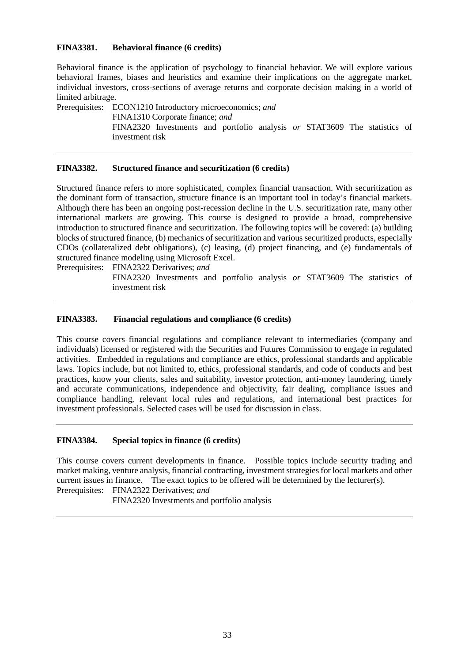#### **FINA3381. Behavioral finance (6 credits)**

Behavioral finance is the application of psychology to financial behavior. We will explore various behavioral frames, biases and heuristics and examine their implications on the aggregate market, individual investors, cross-sections of average returns and corporate decision making in a world of limited arbitrage.

Prerequisites: ECON1210 Introductory microeconomics; *and* FINA1310 Corporate finance; *and* FINA2320 Investments and portfolio analysis *or* STAT3609 The statistics of investment risk

### **FINA3382. Structured finance and securitization (6 credits)**

Structured finance refers to more sophisticated, complex financial transaction. With securitization as the dominant form of transaction, structure finance is an important tool in today's financial markets. Although there has been an ongoing post-recession decline in the U.S. securitization rate, many other international markets are growing. This course is designed to provide a broad, comprehensive introduction to structured finance and securitization. The following topics will be covered: (a) building blocks of structured finance, (b) mechanics of securitization and various securitized products, especially CDOs (collateralized debt obligations), (c) leasing, (d) project financing, and (e) fundamentals of structured finance modeling using Microsoft Excel.

Prerequisites: FINA2322 Derivatives; *and*

FINA2320 Investments and portfolio analysis *or* STAT3609 The statistics of investment risk

## **FINA3383. Financial regulations and compliance (6 credits)**

This course covers financial regulations and compliance relevant to intermediaries (company and individuals) licensed or registered with the Securities and Futures Commission to engage in regulated activities. Embedded in regulations and compliance are ethics, professional standards and applicable laws. Topics include, but not limited to, ethics, professional standards, and code of conducts and best practices, know your clients, sales and suitability, investor protection, anti-money laundering, timely and accurate communications, independence and objectivity, fair dealing, compliance issues and compliance handling, relevant local rules and regulations, and international best practices for investment professionals. Selected cases will be used for discussion in class.

#### **FINA3384. Special topics in finance (6 credits)**

This course covers current developments in finance. Possible topics include security trading and market making, venture analysis, financial contracting, investment strategies for local markets and other current issues in finance. The exact topics to be offered will be determined by the lecturer(s). Prerequisites: FINA2322 Derivatives; *and*

FINA2320 Investments and portfolio analysis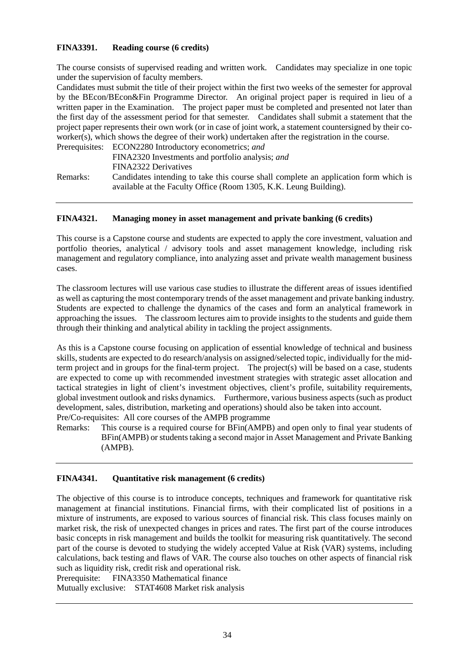## **FINA3391. Reading course (6 credits)**

The course consists of supervised reading and written work. Candidates may specialize in one topic under the supervision of faculty members.

Candidates must submit the title of their project within the first two weeks of the semester for approval by the BEcon/BEcon&Fin Programme Director. An original project paper is required in lieu of a written paper in the Examination. The project paper must be completed and presented not later than the first day of the assessment period for that semester. Candidates shall submit a statement that the project paper represents their own work (or in case of joint work, a statement countersigned by their coworker(s), which shows the degree of their work) undertaken after the registration in the course.

|          | Prerequisites: ECON2280 Introductory econometrics; and                                                                                                    |
|----------|-----------------------------------------------------------------------------------------------------------------------------------------------------------|
|          | FINA2320 Investments and portfolio analysis; and                                                                                                          |
|          | FINA2322 Derivatives                                                                                                                                      |
| Remarks: | Candidates intending to take this course shall complete an application form which is<br>available at the Faculty Office (Room 1305, K.K. Leung Building). |

#### **FINA4321. Managing money in asset management and private banking (6 credits)**

This course is a Capstone course and students are expected to apply the core investment, valuation and portfolio theories, analytical / advisory tools and asset management knowledge, including risk management and regulatory compliance, into analyzing asset and private wealth management business cases.

The classroom lectures will use various case studies to illustrate the different areas of issues identified as well as capturing the most contemporary trends of the asset management and private banking industry. Students are expected to challenge the dynamics of the cases and form an analytical framework in approaching the issues. The classroom lectures aim to provide insights to the students and guide them through their thinking and analytical ability in tackling the project assignments.

As this is a Capstone course focusing on application of essential knowledge of technical and business skills, students are expected to do research/analysis on assigned/selected topic, individually for the midterm project and in groups for the final-term project. The project(s) will be based on a case, students are expected to come up with recommended investment strategies with strategic asset allocation and tactical strategies in light of client's investment objectives, client's profile, suitability requirements, global investment outlook and risks dynamics. Furthermore, various business aspects (such as product development, sales, distribution, marketing and operations) should also be taken into account.

Pre/Co-requisites: All core courses of the AMPB programme

Remarks: This course is a required course for BFin(AMPB) and open only to final year students of BFin(AMPB) or students taking a second major in Asset Management and Private Banking (AMPB).

#### **FINA4341. Quantitative risk management (6 credits)**

The objective of this course is to introduce concepts, techniques and framework for quantitative risk management at financial institutions. Financial firms, with their complicated list of positions in a mixture of instruments, are exposed to various sources of financial risk. This class focuses mainly on market risk, the risk of unexpected changes in prices and rates. The first part of the course introduces basic concepts in risk management and builds the toolkit for measuring risk quantitatively. The second part of the course is devoted to studying the widely accepted Value at Risk (VAR) systems, including calculations, back testing and flaws of VAR. The course also touches on other aspects of financial risk such as liquidity risk, credit risk and operational risk.

Prerequisite: FINA3350 Mathematical finance

Mutually exclusive: STAT4608 Market risk analysis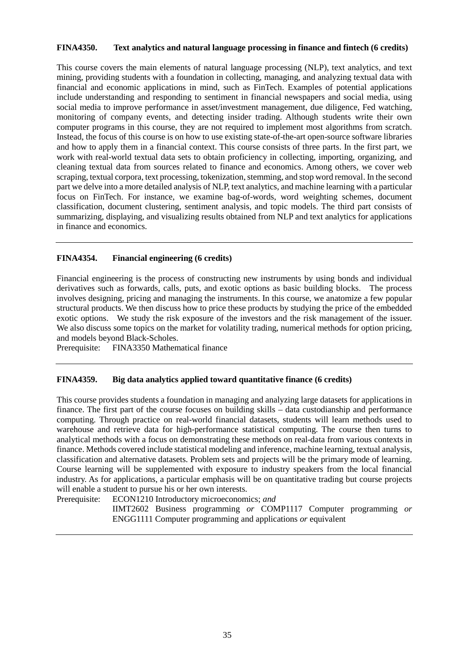#### **FINA4350. Text analytics and natural language processing in finance and fintech (6 credits)**

This course covers the main elements of natural language processing (NLP), text analytics, and text mining, providing students with a foundation in collecting, managing, and analyzing textual data with financial and economic applications in mind, such as FinTech. Examples of potential applications include understanding and responding to sentiment in financial newspapers and social media, using social media to improve performance in asset/investment management, due diligence, Fed watching, monitoring of company events, and detecting insider trading. Although students write their own computer programs in this course, they are not required to implement most algorithms from scratch. Instead, the focus of this course is on how to use existing state-of-the-art open-source software libraries and how to apply them in a financial context. This course consists of three parts. In the first part, we work with real-world textual data sets to obtain proficiency in collecting, importing, organizing, and cleaning textual data from sources related to finance and economics. Among others, we cover web scraping, textual corpora, text processing, tokenization, stemming, and stop word removal. In the second part we delve into a more detailed analysis of NLP, text analytics, and machine learning with a particular focus on FinTech. For instance, we examine bag-of-words, word weighting schemes, document classification, document clustering, sentiment analysis, and topic models. The third part consists of summarizing, displaying, and visualizing results obtained from NLP and text analytics for applications in finance and economics.

#### **FINA4354. Financial engineering (6 credits)**

Financial engineering is the process of constructing new instruments by using bonds and individual derivatives such as forwards, calls, puts, and exotic options as basic building blocks. The process involves designing, pricing and managing the instruments. In this course, we anatomize a few popular structural products. We then discuss how to price these products by studying the price of the embedded exotic options. We study the risk exposure of the investors and the risk management of the issuer. We also discuss some topics on the market for volatility trading, numerical methods for option pricing, and models beyond Black-Scholes.

Prerequisite: FINA3350 Mathematical finance

#### **FINA4359. Big data analytics applied toward quantitative finance (6 credits)**

This course provides students a foundation in managing and analyzing large datasets for applications in finance. The first part of the course focuses on building skills – data custodianship and performance computing. Through practice on real-world financial datasets, students will learn methods used to warehouse and retrieve data for high-performance statistical computing. The course then turns to analytical methods with a focus on demonstrating these methods on real-data from various contexts in finance. Methods covered include statistical modeling and inference, machine learning, textual analysis, classification and alternative datasets. Problem sets and projects will be the primary mode of learning. Course learning will be supplemented with exposure to industry speakers from the local financial industry. As for applications, a particular emphasis will be on quantitative trading but course projects will enable a student to pursue his or her own interests.

Prerequisite: ECON1210 Introductory microeconomics; *and*

IIMT2602 Business programming *or* COMP1117 Computer programming *or* ENGG1111 Computer programming and applications *or* equivalent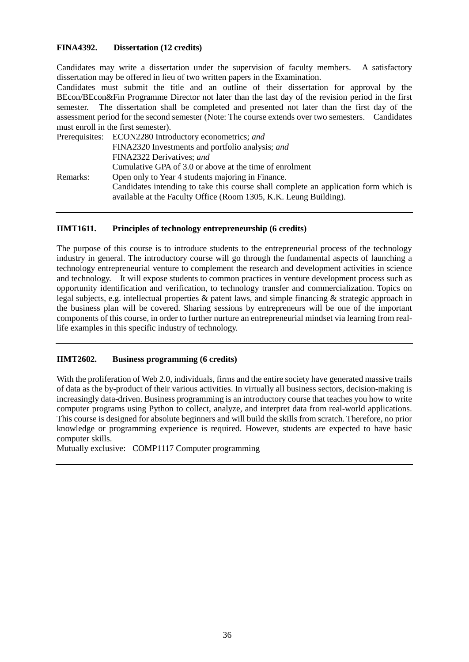## **FINA4392. Dissertation (12 credits)**

Candidates may write a dissertation under the supervision of faculty members. A satisfactory dissertation may be offered in lieu of two written papers in the Examination.

Candidates must submit the title and an outline of their dissertation for approval by the BEcon/BEcon&Fin Programme Director not later than the last day of the revision period in the first semester. The dissertation shall be completed and presented not later than the first day of the assessment period for the second semester (Note: The course extends over two semesters. Candidates must enroll in the first semester).

|          | Prerequisites: ECON2280 Introductory econometrics; and                               |
|----------|--------------------------------------------------------------------------------------|
|          | FINA2320 Investments and portfolio analysis; and                                     |
|          | FINA2322 Derivatives; and                                                            |
|          | Cumulative GPA of 3.0 or above at the time of enrolment                              |
| Remarks: | Open only to Year 4 students majoring in Finance.                                    |
|          | Candidates intending to take this course shall complete an application form which is |
|          | available at the Faculty Office (Room 1305, K.K. Leung Building).                    |

#### **IIMT1611. Principles of technology entrepreneurship (6 credits)**

The purpose of this course is to introduce students to the entrepreneurial process of the technology industry in general. The introductory course will go through the fundamental aspects of launching a technology entrepreneurial venture to complement the research and development activities in science and technology. It will expose students to common practices in venture development process such as opportunity identification and verification, to technology transfer and commercialization. Topics on legal subjects, e.g. intellectual properties & patent laws, and simple financing & strategic approach in the business plan will be covered. Sharing sessions by entrepreneurs will be one of the important components of this course, in order to further nurture an entrepreneurial mindset via learning from reallife examples in this specific industry of technology.

#### **IIMT2602. Business programming (6 credits)**

With the proliferation of Web 2.0, individuals, firms and the entire society have generated massive trails of data as the by-product of their various activities. In virtually all business sectors, decision-making is increasingly data-driven. Business programming is an introductory course that teaches you how to write computer programs using Python to collect, analyze, and interpret data from real-world applications. This course is designed for absolute beginners and will build the skills from scratch. Therefore, no prior knowledge or programming experience is required. However, students are expected to have basic computer skills.

Mutually exclusive: COMP1117 Computer programming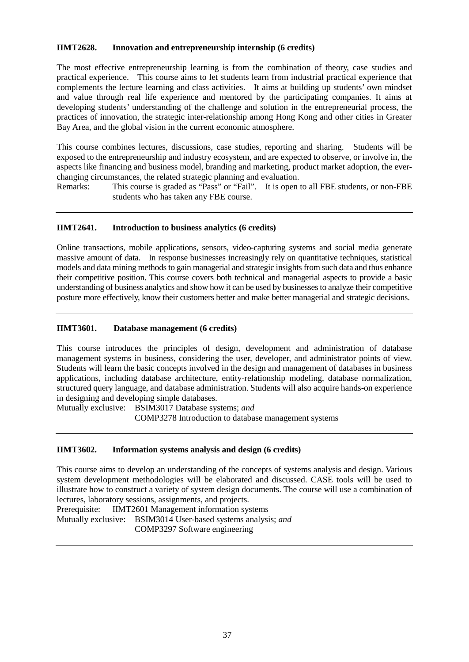## **IIMT2628. Innovation and entrepreneurship internship (6 credits)**

The most effective entrepreneurship learning is from the combination of theory, case studies and practical experience. This course aims to let students learn from industrial practical experience that complements the lecture learning and class activities. It aims at building up students' own mindset and value through real life experience and mentored by the participating companies. It aims at developing students' understanding of the challenge and solution in the entrepreneurial process, the practices of innovation, the strategic inter-relationship among Hong Kong and other cities in Greater Bay Area, and the global vision in the current economic atmosphere.

This course combines lectures, discussions, case studies, reporting and sharing. Students will be exposed to the entrepreneurship and industry ecosystem, and are expected to observe, or involve in, the aspects like financing and business model, branding and marketing, product market adoption, the everchanging circumstances, the related strategic planning and evaluation.

Remarks: This course is graded as "Pass" or "Fail". It is open to all FBE students, or non-FBE students who has taken any FBE course.

## **IIMT2641. Introduction to business analytics (6 credits)**

Online transactions, mobile applications, sensors, video-capturing systems and social media generate massive amount of data. In response businesses increasingly rely on quantitative techniques, statistical models and data mining methods to gain managerial and strategic insights from such data and thus enhance their competitive position. This course covers both technical and managerial aspects to provide a basic understanding of business analytics and show how it can be used by businesses to analyze their competitive posture more effectively, know their customers better and make better managerial and strategic decisions.

## **IIMT3601. Database management (6 credits)**

This course introduces the principles of design, development and administration of database management systems in business, considering the user, developer, and administrator points of view. Students will learn the basic concepts involved in the design and management of databases in business applications, including database architecture, entity-relationship modeling, database normalization, structured query language, and database administration. Students will also acquire hands-on experience in designing and developing simple databases.

Mutually exclusive: BSIM3017 Database systems; *and* COMP3278 Introduction to database management systems

#### **IIMT3602. Information systems analysis and design (6 credits)**

This course aims to develop an understanding of the concepts of systems analysis and design. Various system development methodologies will be elaborated and discussed. CASE tools will be used to illustrate how to construct a variety of system design documents. The course will use a combination of lectures, laboratory sessions, assignments, and projects.

Prerequisite: IIMT2601 Management information systems

Mutually exclusive: BSIM3014 User-based systems analysis; *and* COMP3297 Software engineering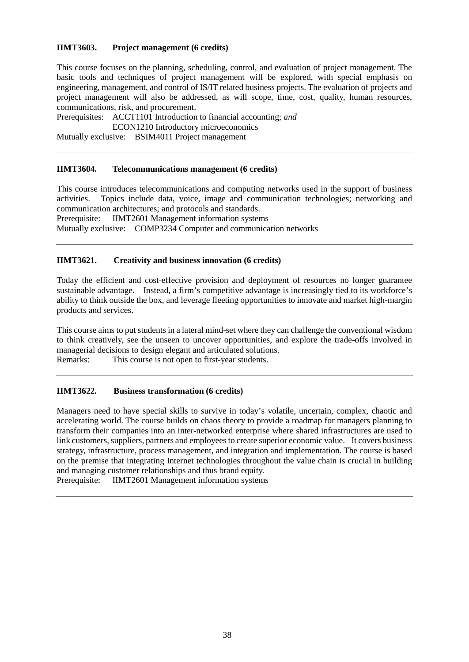## **IIMT3603. Project management (6 credits)**

This course focuses on the planning, scheduling, control, and evaluation of project management. The basic tools and techniques of project management will be explored, with special emphasis on engineering, management, and control of IS/IT related business projects. The evaluation of projects and project management will also be addressed, as will scope, time, cost, quality, human resources, communications, risk, and procurement.

Prerequisites: ACCT1101 Introduction to financial accounting; *and*

ECON1210 Introductory microeconomics

Mutually exclusive: BSIM4011 Project management

#### **IIMT3604. Telecommunications management (6 credits)**

This course introduces telecommunications and computing networks used in the support of business activities. Topics include data, voice, image and communication technologies; networking and communication architectures; and protocols and standards.

Prerequisite: IIMT2601 Management information systems

Mutually exclusive: COMP3234 Computer and communication networks

#### **IIMT3621. Creativity and business innovation (6 credits)**

Today the efficient and cost-effective provision and deployment of resources no longer guarantee sustainable advantage. Instead, a firm's competitive advantage is increasingly tied to its workforce's ability to think outside the box, and leverage fleeting opportunities to innovate and market high-margin products and services.

This course aims to put students in a lateral mind-set where they can challenge the conventional wisdom to think creatively, see the unseen to uncover opportunities, and explore the trade-offs involved in managerial decisions to design elegant and articulated solutions.<br>Remarks: This course is not open to first-vear students.

This course is not open to first-year students.

## **IIMT3622. Business transformation (6 credits)**

Managers need to have special skills to survive in today's volatile, uncertain, complex, chaotic and accelerating world. The course builds on chaos theory to provide a roadmap for managers planning to transform their companies into an inter-networked enterprise where shared infrastructures are used to link customers, suppliers, partners and employees to create superior economic value. It covers business strategy, infrastructure, process management, and integration and implementation. The course is based on the premise that integrating Internet technologies throughout the value chain is crucial in building and managing customer relationships and thus brand equity.

Prerequisite: IIMT2601 Management information systems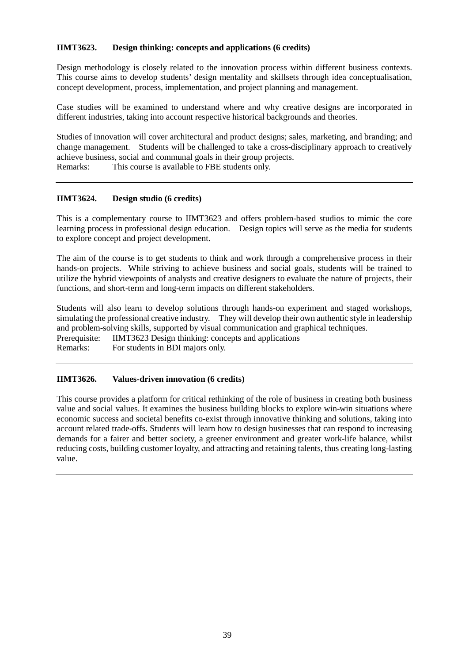## **IIMT3623. Design thinking: concepts and applications (6 credits)**

Design methodology is closely related to the innovation process within different business contexts. This course aims to develop students' design mentality and skillsets through idea conceptualisation, concept development, process, implementation, and project planning and management.

Case studies will be examined to understand where and why creative designs are incorporated in different industries, taking into account respective historical backgrounds and theories.

Studies of innovation will cover architectural and product designs; sales, marketing, and branding; and change management. Students will be challenged to take a cross-disciplinary approach to creatively achieve business, social and communal goals in their group projects. Remarks: This course is available to FBE students only.

## **IIMT3624. Design studio (6 credits)**

This is a complementary course to IIMT3623 and offers problem-based studios to mimic the core learning process in professional design education. Design topics will serve as the media for students to explore concept and project development.

The aim of the course is to get students to think and work through a comprehensive process in their hands-on projects. While striving to achieve business and social goals, students will be trained to utilize the hybrid viewpoints of analysts and creative designers to evaluate the nature of projects, their functions, and short-term and long-term impacts on different stakeholders.

Students will also learn to develop solutions through hands-on experiment and staged workshops, simulating the professional creative industry.They will develop their own authentic style in leadership and problem-solving skills, supported by visual communication and graphical techniques. Prerequisite: IIMT3623 Design thinking: concepts and applications Remarks: For students in BDI majors only.

#### **IIMT3626. Values-driven innovation (6 credits)**

This course provides a platform for critical rethinking of the role of business in creating both business value and social values. It examines the business building blocks to explore win-win situations where economic success and societal benefits co-exist through innovative thinking and solutions, taking into account related trade-offs. Students will learn how to design businesses that can respond to increasing demands for a fairer and better society, a greener environment and greater work-life balance, whilst reducing costs, building customer loyalty, and attracting and retaining talents, thus creating long-lasting value.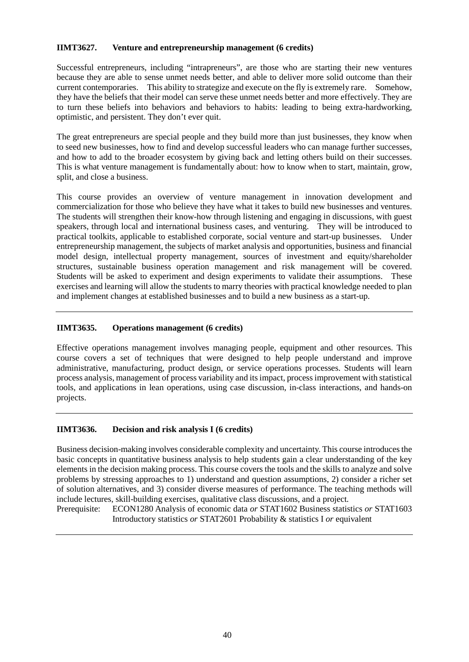## **IIMT3627. Venture and entrepreneurship management (6 credits)**

Successful entrepreneurs, including "intrapreneurs", are those who are starting their new ventures because they are able to sense unmet needs better, and able to deliver more solid outcome than their current contemporaries. This ability to strategize and execute on the fly is extremely rare. Somehow, they have the beliefs that their model can serve these unmet needs better and more effectively. They are to turn these beliefs into behaviors and behaviors to habits: leading to being extra-hardworking, optimistic, and persistent. They don't ever quit.

The great entrepreneurs are special people and they build more than just businesses, they know when to seed new businesses, how to find and develop successful leaders who can manage further successes, and how to add to the broader ecosystem by giving back and letting others build on their successes. This is what venture management is fundamentally about: how to know when to start, maintain, grow, split, and close a business.

This course provides an overview of venture management in innovation development and commercialization for those who believe they have what it takes to build new businesses and ventures. The students will strengthen their know-how through listening and engaging in discussions, with guest speakers, through local and international business cases, and venturing. They will be introduced to practical toolkits, applicable to established corporate, social venture and start-up businesses. Under entrepreneurship management, the subjects of market analysis and opportunities, business and financial model design, intellectual property management, sources of investment and equity/shareholder structures, sustainable business operation management and risk management will be covered. Students will be asked to experiment and design experiments to validate their assumptions. These exercises and learning will allow the students to marry theories with practical knowledge needed to plan and implement changes at established businesses and to build a new business as a start-up.

#### **IIMT3635. Operations management (6 credits)**

Effective operations management involves managing people, equipment and other resources. This course covers a set of techniques that were designed to help people understand and improve administrative, manufacturing, product design, or service operations processes. Students will learn process analysis, management of process variability and its impact, process improvement with statistical tools, and applications in lean operations, using case discussion, in-class interactions, and hands-on projects.

#### **IIMT3636. Decision and risk analysis I (6 credits)**

Business decision-making involves considerable complexity and uncertainty. This course introduces the basic concepts in quantitative business analysis to help students gain a clear understanding of the key elements in the decision making process. This course covers the tools and the skills to analyze and solve problems by stressing approaches to 1) understand and question assumptions, 2) consider a richer set of solution alternatives, and 3) consider diverse measures of performance. The teaching methods will include lectures, skill-building exercises, qualitative class discussions, and a project*.*

Prerequisite: ECON1280 Analysis of economic data *or* STAT1602 Business statistics *or* STAT1603 Introductory statistics *or* STAT2601 Probability & statistics I *or* equivalent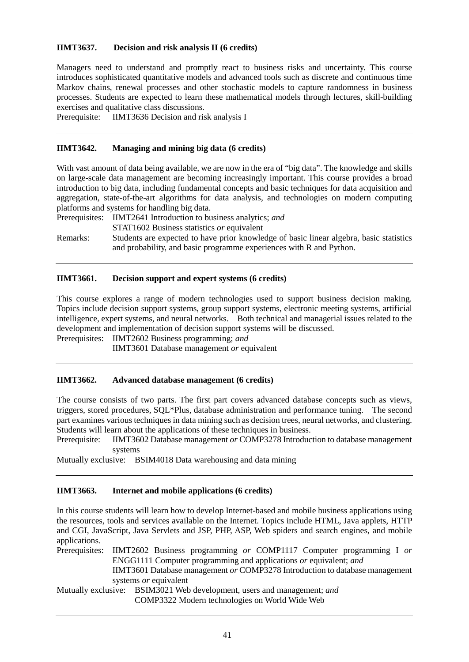## **IIMT3637. Decision and risk analysis II (6 credits)**

Managers need to understand and promptly react to business risks and uncertainty. This course introduces sophisticated quantitative models and advanced tools such as discrete and continuous time Markov chains, renewal processes and other stochastic models to capture randomness in business processes. Students are expected to learn these mathematical models through lectures, skill-building exercises and qualitative class discussions*.*

Prerequisite: IIMT3636 Decision and risk analysis I

#### **IIMT3642. Managing and mining big data (6 credits)**

With vast amount of data being available, we are now in the era of "big data". The knowledge and skills on large-scale data management are becoming increasingly important. This course provides a broad introduction to big data, including fundamental concepts and basic techniques for data acquisition and aggregation, state-of-the-art algorithms for data analysis, and technologies on modern computing platforms and systems for handling big data.

Prerequisites: IIMT2641 Introduction to business analytics; *and*

STAT1602 Business statistics *or* equivalent

Remarks: Students are expected to have prior knowledge of basic linear algebra, basic statistics and probability, and basic programme experiences with R and Python.

#### **IIMT3661. Decision support and expert systems (6 credits)**

This course explores a range of modern technologies used to support business decision making. Topics include decision support systems, group support systems, electronic meeting systems, artificial intelligence, expert systems, and neural networks. Both technical and managerial issues related to the development and implementation of decision support systems will be discussed.

Prerequisites: IIMT2602 Business programming; *and*

IIMT3601 Database management *or* equivalent

#### **IIMT3662. Advanced database management (6 credits)**

The course consists of two parts. The first part covers advanced database concepts such as views, triggers, stored procedures, SQL\*Plus, database administration and performance tuning. The second part examines various techniques in data mining such as decision trees, neural networks, and clustering. Students will learn about the applications of these techniques in business.

Prerequisite: IIMT3602 Database management *or* COMP3278 Introduction to database management systems

Mutually exclusive: BSIM4018 Data warehousing and data mining

## **IIMT3663. Internet and mobile applications (6 credits)**

In this course students will learn how to develop Internet-based and mobile business applications using the resources, tools and services available on the Internet. Topics include HTML, Java applets, HTTP and CGI, JavaScript, Java Servlets and JSP, PHP, ASP, Web spiders and search engines, and mobile applications.

Prerequisites: IIMT2602 Business programming *or* COMP1117 Computer programming I *or* ENGG1111 Computer programming and applications *or* equivalent; *and* IIMT3601 Database management *or* COMP3278 Introduction to database management systems *or* equivalent Mutually exclusive: BSIM3021 Web development, users and management; *and*

COMP3322 Modern technologies on World Wide Web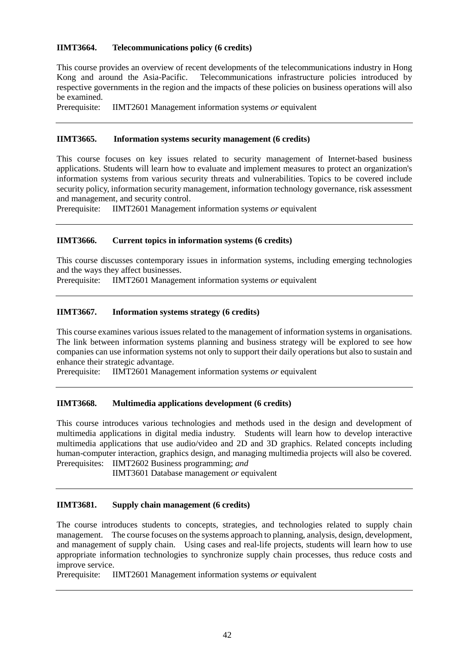## **IIMT3664. Telecommunications policy (6 credits)**

This course provides an overview of recent developments of the telecommunications industry in Hong Kong and around the Asia-Pacific. Telecommunications infrastructure policies introduced by respective governments in the region and the impacts of these policies on business operations will also be examined.

Prerequisite: IIMT2601 Management information systems *or* equivalent

#### **IIMT3665. Information systems security management (6 credits)**

This course focuses on key issues related to security management of Internet-based business applications. Students will learn how to evaluate and implement measures to protect an organization's information systems from various security threats and vulnerabilities. Topics to be covered include security policy, information security management, information technology governance, risk assessment and management, and security control.

Prerequisite: IIMT2601 Management information systems *or* equivalent

#### **IIMT3666. Current topics in information systems (6 credits)**

This course discusses contemporary issues in information systems, including emerging technologies and the ways they affect businesses.

Prerequisite: IIMT2601 Management information systems *or* equivalent

#### **IIMT3667. Information systems strategy (6 credits)**

This course examines various issues related to the management of information systems in organisations. The link between information systems planning and business strategy will be explored to see how companies can use information systems not only to support their daily operations but also to sustain and enhance their strategic advantage.

Prerequisite: IIMT2601 Management information systems *or* equivalent

#### **IIMT3668. Multimedia applications development (6 credits)**

This course introduces various technologies and methods used in the design and development of multimedia applications in digital media industry. Students will learn how to develop interactive multimedia applications that use audio/video and 2D and 3D graphics. Related concepts including human-computer interaction, graphics design, and managing multimedia projects will also be covered. Prerequisites: IIMT2602 Business programming; *and*

IIMT3601 Database management *or* equivalent

## **IIMT3681. Supply chain management (6 credits)**

The course introduces students to concepts, strategies, and technologies related to supply chain management. The course focuses on the systems approach to planning, analysis, design, development, and management of supply chain. Using cases and real-life projects, students will learn how to use appropriate information technologies to synchronize supply chain processes, thus reduce costs and improve service.

Prerequisite: IIMT2601 Management information systems *or* equivalent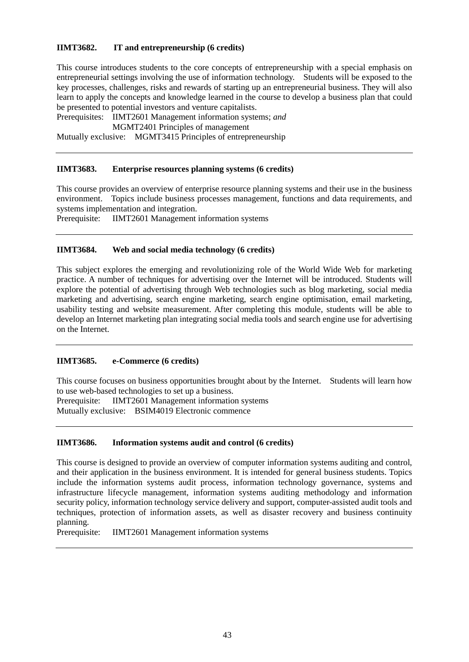## **IIMT3682. IT and entrepreneurship (6 credits)**

This course introduces students to the core concepts of entrepreneurship with a special emphasis on entrepreneurial settings involving the use of information technology. Students will be exposed to the key processes, challenges, risks and rewards of starting up an entrepreneurial business. They will also learn to apply the concepts and knowledge learned in the course to develop a business plan that could be presented to potential investors and venture capitalists.

Prerequisites: IIMT2601 Management information systems; *and*

MGMT2401 Principles of management

Mutually exclusive: MGMT3415 Principles of entrepreneurship

#### **IIMT3683. Enterprise resources planning systems (6 credits)**

This course provides an overview of enterprise resource planning systems and their use in the business environment. Topics include business processes management, functions and data requirements, and systems implementation and integration.

Prerequisite: IIMT2601 Management information systems

#### **IIMT3684. Web and social media technology (6 credits)**

This subject explores the emerging and revolutionizing role of the World Wide Web for marketing practice. A number of techniques for advertising over the Internet will be introduced. Students will explore the potential of advertising through Web technologies such as blog marketing, social media marketing and advertising, search engine marketing, search engine optimisation, email marketing, usability testing and website measurement. After completing this module, students will be able to develop an Internet marketing plan integrating social media tools and search engine use for advertising on the Internet.

#### **IIMT3685. e-Commerce (6 credits)**

This course focuses on business opportunities brought about by the Internet. Students will learn how to use web-based technologies to set up a business.

Prerequisite: IIMT2601 Management information systems Mutually exclusive: BSIM4019 Electronic commence

#### **IIMT3686. Information systems audit and control (6 credits)**

This course is designed to provide an overview of computer information systems auditing and control, and their application in the business environment. It is intended for general business students. Topics include the information systems audit process, information technology governance, systems and infrastructure lifecycle management, information systems auditing methodology and information security policy, information technology service delivery and support, computer-assisted audit tools and techniques, protection of information assets, as well as disaster recovery and business continuity planning.

Prerequisite: IIMT2601 Management information systems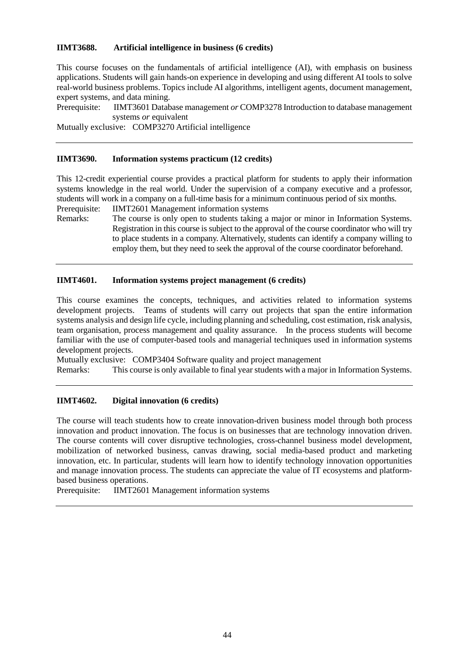### **IIMT3688. Artificial intelligence in business (6 credits)**

This course focuses on the fundamentals of artificial intelligence (AI), with emphasis on business applications. Students will gain hands-on experience in developing and using different AI tools to solve real-world business problems. Topics include AI algorithms, intelligent agents, document management, expert systems, and data mining.

Prerequisite: IIMT3601 Database management *or* COMP3278 Introduction to database management systems *or* equivalent

Mutually exclusive: COMP3270 Artificial intelligence

#### **IIMT3690. Information systems practicum (12 credits)**

This 12-credit experiential course provides a practical platform for students to apply their information systems knowledge in the real world. Under the supervision of a company executive and a professor, students will work in a company on a full-time basis for a minimum continuous period of six months. Prerequisite: IIMT2601 Management information systems

Remarks: The course is only open to students taking a major or minor in Information Systems. Registration in this course is subject to the approval of the course coordinator who will try to place students in a company. Alternatively, students can identify a company willing to employ them, but they need to seek the approval of the course coordinator beforehand.

#### **IIMT4601. Information systems project management (6 credits)**

This course examines the concepts, techniques, and activities related to information systems development projects. Teams of students will carry out projects that span the entire information systems analysis and design life cycle, including planning and scheduling, cost estimation, risk analysis, team organisation, process management and quality assurance. In the process students will become familiar with the use of computer-based tools and managerial techniques used in information systems development projects.

Mutually exclusive: COMP3404 Software quality and project management Remarks: This course is only available to final year students with a major in Information Systems.

#### **IIMT4602. Digital innovation (6 credits)**

The course will teach students how to create innovation-driven business model through both process innovation and product innovation. The focus is on businesses that are technology innovation driven. The course contents will cover disruptive technologies, cross-channel business model development, mobilization of networked business, canvas drawing, social media-based product and marketing innovation, etc. In particular, students will learn how to identify technology innovation opportunities and manage innovation process. The students can appreciate the value of IT ecosystems and platformbased business operations.

Prerequisite: IIMT2601 Management information systems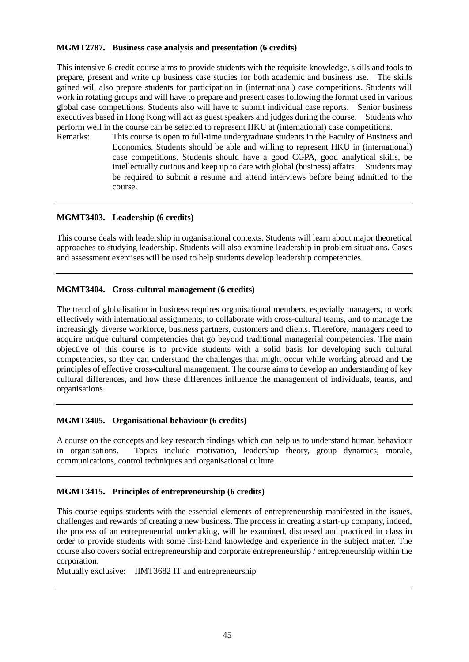### **MGMT2787. Business case analysis and presentation (6 credits)**

This intensive 6-credit course aims to provide students with the requisite knowledge, skills and tools to prepare, present and write up business case studies for both academic and business use. The skills gained will also prepare students for participation in (international) case competitions. Students will work in rotating groups and will have to prepare and present cases following the format used in various global case competitions. Students also will have to submit individual case reports. Senior business executives based in Hong Kong will act as guest speakers and judges during the course. Students who perform well in the course can be selected to represent HKU at (international) case competitions.

Remarks: This course is open to full-time undergraduate students in the Faculty of Business and Economics. Students should be able and willing to represent HKU in (international) case competitions. Students should have a good CGPA, good analytical skills, be intellectually curious and keep up to date with global (business) affairs. Students may be required to submit a resume and attend interviews before being admitted to the course.

# **MGMT3403. Leadership (6 credits)**

This course deals with leadership in organisational contexts. Students will learn about major theoretical approaches to studying leadership. Students will also examine leadership in problem situations. Cases and assessment exercises will be used to help students develop leadership competencies.

# **MGMT3404. Cross-cultural management (6 credits)**

The trend of globalisation in business requires organisational members, especially managers, to work effectively with international assignments, to collaborate with cross-cultural teams, and to manage the increasingly diverse workforce, business partners, customers and clients. Therefore, managers need to acquire unique cultural competencies that go beyond traditional managerial competencies. The main objective of this course is to provide students with a solid basis for developing such cultural competencies, so they can understand the challenges that might occur while working abroad and the principles of effective cross-cultural management. The course aims to develop an understanding of key cultural differences, and how these differences influence the management of individuals, teams, and organisations.

# **MGMT3405. Organisational behaviour (6 credits)**

A course on the concepts and key research findings which can help us to understand human behaviour in organisations. Topics include motivation, leadership theory, group dynamics, morale, communications, control techniques and organisational culture.

# **MGMT3415. Principles of entrepreneurship (6 credits)**

This course equips students with the essential elements of entrepreneurship manifested in the issues, challenges and rewards of creating a new business. The process in creating a start-up company, indeed, the process of an entrepreneurial undertaking, will be examined, discussed and practiced in class in order to provide students with some first-hand knowledge and experience in the subject matter. The course also covers social entrepreneurship and corporate entrepreneurship / entrepreneurship within the corporation.

Mutually exclusive: IIMT3682 IT and entrepreneurship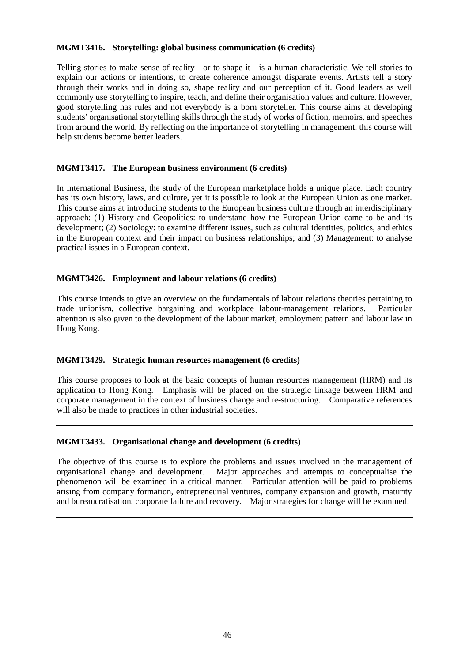#### **MGMT3416. Storytelling: global business communication (6 credits)**

Telling stories to make sense of reality—or to shape it—is a human characteristic. We tell stories to explain our actions or intentions, to create coherence amongst disparate events. Artists tell a story through their works and in doing so, shape reality and our perception of it. Good leaders as well commonly use storytelling to inspire, teach, and define their organisation values and culture. However, good storytelling has rules and not everybody is a born storyteller. This course aims at developing students' organisational storytelling skills through the study of works of fiction, memoirs, and speeches from around the world. By reflecting on the importance of storytelling in management, this course will help students become better leaders.

#### **MGMT3417. The European business environment (6 credits)**

In International Business, the study of the European marketplace holds a unique place. Each country has its own history, laws, and culture, yet it is possible to look at the European Union as one market. This course aims at introducing students to the European business culture through an interdisciplinary approach: (1) History and Geopolitics: to understand how the European Union came to be and its development; (2) Sociology: to examine different issues, such as cultural identities, politics, and ethics in the European context and their impact on business relationships; and (3) Management: to analyse practical issues in a European context.

#### **MGMT3426. Employment and labour relations (6 credits)**

This course intends to give an overview on the fundamentals of labour relations theories pertaining to trade unionism, collective bargaining and workplace labour-management relations. Particular attention is also given to the development of the labour market, employment pattern and labour law in Hong Kong.

#### **MGMT3429. Strategic human resources management (6 credits)**

This course proposes to look at the basic concepts of human resources management (HRM) and its application to Hong Kong. Emphasis will be placed on the strategic linkage between HRM and corporate management in the context of business change and re-structuring. Comparative references will also be made to practices in other industrial societies.

#### **MGMT3433. Organisational change and development (6 credits)**

The objective of this course is to explore the problems and issues involved in the management of organisational change and development. Major approaches and attempts to conceptualise the phenomenon will be examined in a critical manner. Particular attention will be paid to problems arising from company formation, entrepreneurial ventures, company expansion and growth, maturity and bureaucratisation, corporate failure and recovery. Major strategies for change will be examined.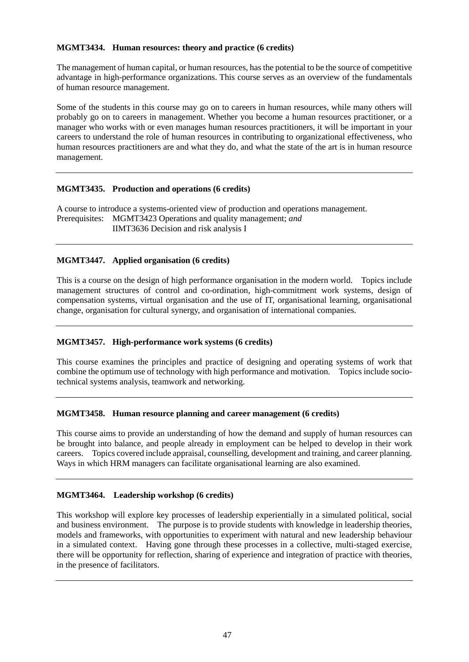## **MGMT3434. Human resources: theory and practice (6 credits)**

The management of human capital, or human resources, has the potential to be the source of competitive advantage in high-performance organizations. This course serves as an overview of the fundamentals of human resource management.

Some of the students in this course may go on to careers in human resources, while many others will probably go on to careers in management. Whether you become a human resources practitioner, or a manager who works with or even manages human resources practitioners, it will be important in your careers to understand the role of human resources in contributing to organizational effectiveness, who human resources practitioners are and what they do, and what the state of the art is in human resource management.

## **MGMT3435. Production and operations (6 credits)**

A course to introduce a systems-oriented view of production and operations management. Prerequisites: MGMT3423 Operations and quality management; *and* IIMT3636 Decision and risk analysis I

## **MGMT3447. Applied organisation (6 credits)**

This is a course on the design of high performance organisation in the modern world. Topics include management structures of control and co-ordination, high-commitment work systems, design of compensation systems, virtual organisation and the use of IT, organisational learning, organisational change, organisation for cultural synergy, and organisation of international companies.

#### **MGMT3457. High-performance work systems (6 credits)**

This course examines the principles and practice of designing and operating systems of work that combine the optimum use of technology with high performance and motivation. Topics include sociotechnical systems analysis, teamwork and networking.

#### **MGMT3458. Human resource planning and career management (6 credits)**

This course aims to provide an understanding of how the demand and supply of human resources can be brought into balance, and people already in employment can be helped to develop in their work careers. Topics covered include appraisal, counselling, development and training, and career planning. Ways in which HRM managers can facilitate organisational learning are also examined.

#### **MGMT3464. Leadership workshop (6 credits)**

This workshop will explore key processes of leadership experientially in a simulated political, social and business environment. The purpose is to provide students with knowledge in leadership theories, models and frameworks, with opportunities to experiment with natural and new leadership behaviour in a simulated context. Having gone through these processes in a collective, multi-staged exercise, there will be opportunity for reflection, sharing of experience and integration of practice with theories, in the presence of facilitators.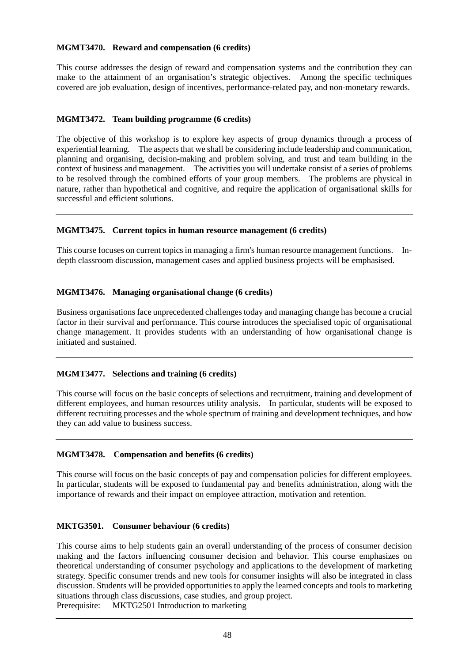## **MGMT3470. Reward and compensation (6 credits)**

This course addresses the design of reward and compensation systems and the contribution they can make to the attainment of an organisation's strategic objectives. Among the specific techniques covered are job evaluation, design of incentives, performance-related pay, and non-monetary rewards.

## **MGMT3472. Team building programme (6 credits)**

The objective of this workshop is to explore key aspects of group dynamics through a process of experiential learning. The aspects that we shall be considering include leadership and communication, planning and organising, decision-making and problem solving, and trust and team building in the context of business and management. The activities you will undertake consist of a series of problems to be resolved through the combined efforts of your group members. The problems are physical in nature, rather than hypothetical and cognitive, and require the application of organisational skills for successful and efficient solutions.

## **MGMT3475. Current topics in human resource management (6 credits)**

This course focuses on current topics in managing a firm's human resource management functions. Indepth classroom discussion, management cases and applied business projects will be emphasised.

## **MGMT3476. Managing organisational change (6 credits)**

Business organisations face unprecedented challenges today and managing change has become a crucial factor in their survival and performance. This course introduces the specialised topic of organisational change management. It provides students with an understanding of how organisational change is initiated and sustained.

#### **MGMT3477. Selections and training (6 credits)**

This course will focus on the basic concepts of selections and recruitment, training and development of different employees, and human resources utility analysis. In particular, students will be exposed to different recruiting processes and the whole spectrum of training and development techniques, and how they can add value to business success.

# **MGMT3478. Compensation and benefits (6 credits)**

This course will focus on the basic concepts of pay and compensation policies for different employees. In particular, students will be exposed to fundamental pay and benefits administration, along with the importance of rewards and their impact on employee attraction, motivation and retention.

#### **MKTG3501. Consumer behaviour (6 credits)**

This course aims to help students gain an overall understanding of the process of consumer decision making and the factors influencing consumer decision and behavior. This course emphasizes on theoretical understanding of consumer psychology and applications to the development of marketing strategy. Specific consumer trends and new tools for consumer insights will also be integrated in class discussion. Students will be provided opportunities to apply the learned concepts and tools to marketing situations through class discussions, case studies, and group project.

Prerequisite: MKTG2501 Introduction to marketing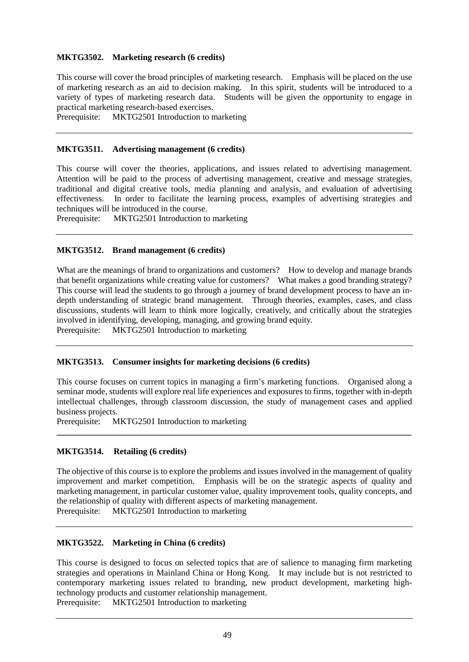## **MKTG3502. Marketing research (6 credits)**

This course will cover the broad principles of marketing research. Emphasis will be placed on the use of marketing research as an aid to decision making. In this spirit, students will be introduced to a variety of types of marketing research data. Students will be given the opportunity to engage in practical marketing research-based exercises.

Prerequisite: MKTG2501 Introduction to marketing

# **MKTG3511. Advertising management (6 credits)**

This course will cover the theories, applications, and issues related to advertising management. Attention will be paid to the process of advertising management, creative and message strategies, traditional and digital creative tools, media planning and analysis, and evaluation of advertising effectiveness. In order to facilitate the learning process, examples of advertising strategies and techniques will be introduced in the course.

Prerequisite: MKTG2501 Introduction to marketing

## **MKTG3512. Brand management (6 credits)**

What are the meanings of brand to organizations and customers? How to develop and manage brands that benefit organizations while creating value for customers? What makes a good branding strategy? This course will lead the students to go through a journey of brand development process to have an indepth understanding of strategic brand management. Through theories, examples, cases, and class discussions, students will learn to think more logically, creatively, and critically about the strategies involved in identifying, developing, managing, and growing brand equity. Prerequisite: MKTG2501 Introduction to marketing

#### **MKTG3513. Consumer insights for marketing decisions (6 credits)**

This course focuses on current topics in managing a firm's marketing functions. Organised along a seminar mode, students will explore real life experiences and exposures to firms, together with in-depth intellectual challenges, through classroom discussion, the study of management cases and applied business projects.

**\_\_\_\_\_\_\_\_\_\_\_\_\_\_\_\_\_\_\_\_\_\_\_\_\_\_\_\_\_\_\_\_\_\_\_\_\_\_\_\_\_\_\_\_\_\_\_\_\_\_\_\_\_\_\_\_\_\_\_\_\_\_\_\_\_\_\_\_\_\_\_\_\_\_\_\_\_\_\_\_\_\_**

Prerequisite: MKTG2501 Introduction to marketing

# **MKTG3514. Retailing (6 credits)**

The objective of this course is to explore the problems and issues involved in the management of quality improvement and market competition. Emphasis will be on the strategic aspects of quality and marketing management, in particular customer value, quality improvement tools, quality concepts, and the relationship of quality with different aspects of marketing management. Prerequisite: MKTG2501 Introduction to marketing

#### **MKTG3522. Marketing in China (6 credits)**

This course is designed to focus on selected topics that are of salience to managing firm marketing strategies and operations in Mainland China or Hong Kong. It may include but is not restricted to contemporary marketing issues related to branding, new product development, marketing hightechnology products and customer relationship management. Prerequisite: MKTG2501 Introduction to marketing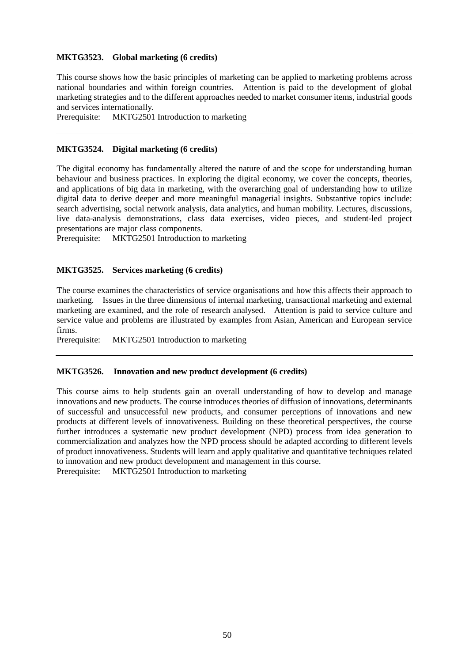#### **MKTG3523. Global marketing (6 credits)**

This course shows how the basic principles of marketing can be applied to marketing problems across national boundaries and within foreign countries. Attention is paid to the development of global marketing strategies and to the different approaches needed to market consumer items, industrial goods and services internationally.

Prerequisite: MKTG2501 Introduction to marketing

## **MKTG3524. Digital marketing (6 credits)**

The digital economy has fundamentally altered the nature of and the scope for understanding human behaviour and business practices. In exploring the digital economy, we cover the concepts, theories, and applications of big data in marketing, with the overarching goal of understanding how to utilize digital data to derive deeper and more meaningful managerial insights. Substantive topics include: search advertising, social network analysis, data analytics, and human mobility. Lectures, discussions, live data-analysis demonstrations, class data exercises, video pieces, and student-led project presentations are major class components.

Prerequisite: MKTG2501 Introduction to marketing

#### **MKTG3525. Services marketing (6 credits)**

The course examines the characteristics of service organisations and how this affects their approach to marketing. Issues in the three dimensions of internal marketing, transactional marketing and external marketing are examined, and the role of research analysed. Attention is paid to service culture and service value and problems are illustrated by examples from Asian, American and European service firms.

Prerequisite: MKTG2501 Introduction to marketing

#### **MKTG3526. Innovation and new product development (6 credits)**

This course aims to help students gain an overall understanding of how to develop and manage innovations and new products. The course introduces theories of diffusion of innovations, determinants of successful and unsuccessful new products, and consumer perceptions of innovations and new products at different levels of innovativeness. Building on these theoretical perspectives, the course further introduces a systematic new product development (NPD) process from idea generation to commercialization and analyzes how the NPD process should be adapted according to different levels of product innovativeness. Students will learn and apply qualitative and quantitative techniques related to innovation and new product development and management in this course. Prerequisite: MKTG2501 Introduction to marketing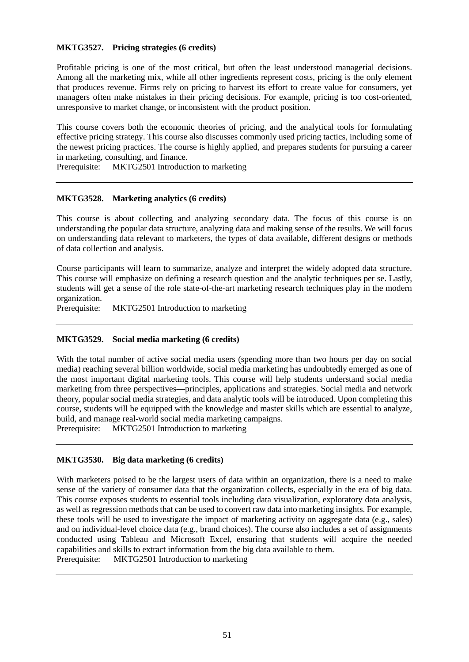## **MKTG3527. Pricing strategies (6 credits)**

Profitable pricing is one of the most critical, but often the least understood managerial decisions. Among all the marketing mix, while all other ingredients represent costs, pricing is the only element that produces revenue. Firms rely on pricing to harvest its effort to create value for consumers, yet managers often make mistakes in their pricing decisions. For example, pricing is too cost-oriented, unresponsive to market change, or inconsistent with the product position.

This course covers both the economic theories of pricing, and the analytical tools for formulating effective pricing strategy. This course also discusses commonly used pricing tactics, including some of the newest pricing practices. The course is highly applied, and prepares students for pursuing a career in marketing, consulting, and finance.

Prerequisite: MKTG2501 Introduction to marketing

# **MKTG3528. Marketing analytics (6 credits)**

This course is about collecting and analyzing secondary data. The focus of this course is on understanding the popular data structure, analyzing data and making sense of the results. We will focus on understanding data relevant to marketers, the types of data available, different designs or methods of data collection and analysis.

Course participants will learn to summarize, analyze and interpret the widely adopted data structure. This course will emphasize on defining a research question and the analytic techniques per se. Lastly, students will get a sense of the role state-of-the-art marketing research techniques play in the modern organization.

Prerequisite: MKTG2501 Introduction to marketing

#### **MKTG3529. Social media marketing (6 credits)**

With the total number of active social media users (spending more than two hours per day on social media) reaching several billion worldwide, social media marketing has undoubtedly emerged as one of the most important digital marketing tools. This course will help students understand social media marketing from three perspectives—principles, applications and strategies. Social media and network theory, popular social media strategies, and data analytic tools will be introduced. Upon completing this course, students will be equipped with the knowledge and master skills which are essential to analyze, build, and manage real-world social media marketing campaigns.

Prerequisite: MKTG2501 Introduction to marketing

#### **MKTG3530. Big data marketing (6 credits)**

With marketers poised to be the largest users of data within an organization, there is a need to make sense of the variety of consumer data that the organization collects, especially in the era of big data. This course exposes students to essential tools including data visualization, exploratory data analysis, as well as regression methods that can be used to convert raw data into marketing insights. For example, these tools will be used to investigate the impact of marketing activity on aggregate data (e.g., sales) and on individual-level choice data (e.g., brand choices). The course also includes a set of assignments conducted using Tableau and Microsoft Excel, ensuring that students will acquire the needed capabilities and skills to extract information from the big data available to them. Prerequisite: MKTG2501 Introduction to marketing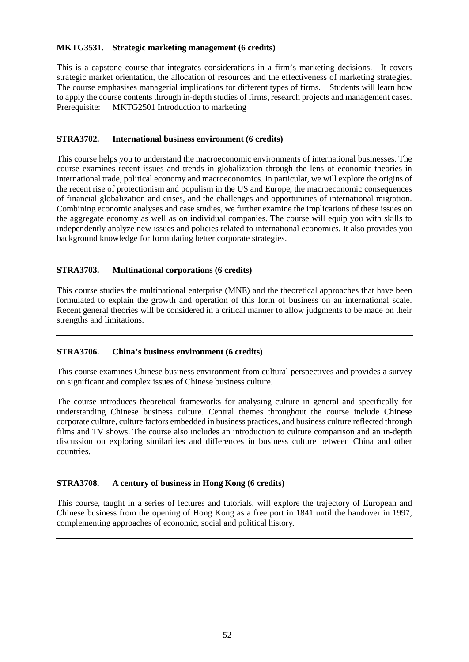### **MKTG3531. Strategic marketing management (6 credits)**

This is a capstone course that integrates considerations in a firm's marketing decisions. It covers strategic market orientation, the allocation of resources and the effectiveness of marketing strategies. The course emphasises managerial implications for different types of firms. Students will learn how to apply the course contents through in-depth studies of firms, research projects and management cases. Prerequisite: MKTG2501 Introduction to marketing

## **STRA3702. International business environment (6 credits)**

This course helps you to understand the macroeconomic environments of international businesses. The course examines recent issues and trends in globalization through the lens of economic theories in international trade, political economy and macroeconomics. In particular, we will explore the origins of the recent rise of protectionism and populism in the US and Europe, the macroeconomic consequences of financial globalization and crises, and the challenges and opportunities of international migration. Combining economic analyses and case studies, we further examine the implications of these issues on the aggregate economy as well as on individual companies. The course will equip you with skills to independently analyze new issues and policies related to international economics. It also provides you background knowledge for formulating better corporate strategies.

# **STRA3703. Multinational corporations (6 credits)**

This course studies the multinational enterprise (MNE) and the theoretical approaches that have been formulated to explain the growth and operation of this form of business on an international scale. Recent general theories will be considered in a critical manner to allow judgments to be made on their strengths and limitations.

#### **STRA3706. China's business environment (6 credits)**

This course examines Chinese business environment from cultural perspectives and provides a survey on significant and complex issues of Chinese business culture.

The course introduces theoretical frameworks for analysing culture in general and specifically for understanding Chinese business culture. Central themes throughout the course include Chinese corporate culture, culture factors embedded in business practices, and business culture reflected through films and TV shows. The course also includes an introduction to culture comparison and an in-depth discussion on exploring similarities and differences in business culture between China and other countries.

# **STRA3708. A century of business in Hong Kong (6 credits)**

This course, taught in a series of lectures and tutorials, will explore the trajectory of European and Chinese business from the opening of Hong Kong as a free port in 1841 until the handover in 1997, complementing approaches of economic, social and political history.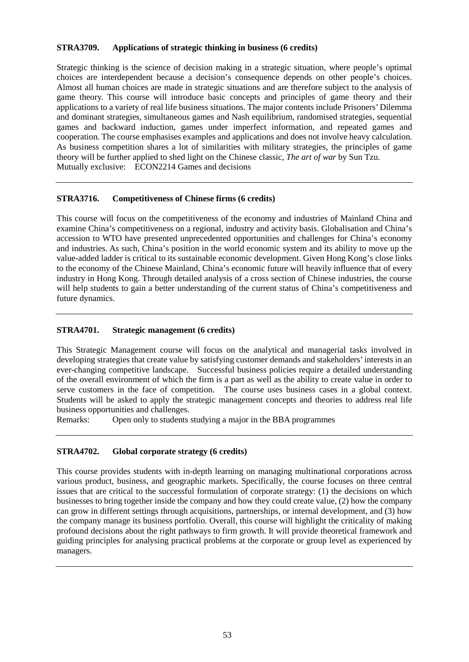## **STRA3709. Applications of strategic thinking in business (6 credits)**

Strategic thinking is the science of decision making in a strategic situation, where people's optimal choices are interdependent because a decision's consequence depends on other people's choices. Almost all human choices are made in strategic situations and are therefore subject to the analysis of game theory. This course will introduce basic concepts and principles of game theory and their applications to a variety of real life business situations. The major contents include Prisoners' Dilemma and dominant strategies, simultaneous games and Nash equilibrium, randomised strategies, sequential games and backward induction, games under imperfect information, and repeated games and cooperation. The course emphasises examples and applications and does not involve heavy calculation. As business competition shares a lot of similarities with military strategies, the principles of game theory will be further applied to shed light on the Chinese classic, *The art of war* by Sun Tzu. Mutually exclusive: ECON2214 Games and decisions

#### **STRA3716. Competitiveness of Chinese firms (6 credits)**

This course will focus on the competitiveness of the economy and industries of Mainland China and examine China's competitiveness on a regional, industry and activity basis. Globalisation and China's accession to WTO have presented unprecedented opportunities and challenges for China's economy and industries. As such, China's position in the world economic system and its ability to move up the value-added ladder is critical to its sustainable economic development. Given Hong Kong's close links to the economy of the Chinese Mainland, China's economic future will heavily influence that of every industry in Hong Kong. Through detailed analysis of a cross section of Chinese industries, the course will help students to gain a better understanding of the current status of China's competitiveness and future dynamics.

## **STRA4701. Strategic management (6 credits)**

This Strategic Management course will focus on the analytical and managerial tasks involved in developing strategies that create value by satisfying customer demands and stakeholders' interests in an ever-changing competitive landscape. Successful business policies require a detailed understanding of the overall environment of which the firm is a part as well as the ability to create value in order to serve customers in the face of competition. The course uses business cases in a global context. Students will be asked to apply the strategic management concepts and theories to address real life business opportunities and challenges.

Remarks: Open only to students studying a major in the BBA programmes

#### **STRA4702. Global corporate strategy (6 credits)**

This course provides students with in-depth learning on managing multinational corporations across various product, business, and geographic markets. Specifically, the course focuses on three central issues that are critical to the successful formulation of corporate strategy: (1) the decisions on which businesses to bring together inside the company and how they could create value, (2) how the company can grow in different settings through acquisitions, partnerships, or internal development, and (3) how the company manage its business portfolio. Overall, this course will highlight the criticality of making profound decisions about the right pathways to firm growth. It will provide theoretical framework and guiding principles for analysing practical problems at the corporate or group level as experienced by managers.